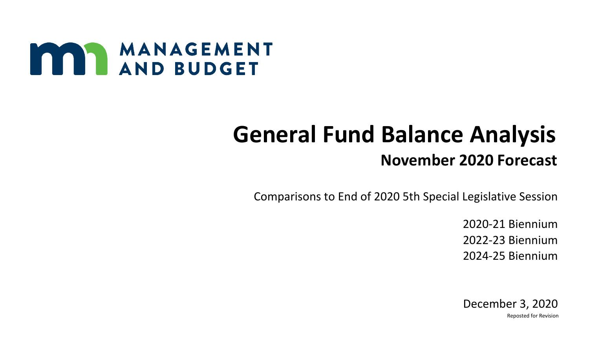

## **General Fund Balance Analysis November 2020 Forecast**

Comparisons to End of 2020 5th Special Legislative Session

2020-21 Biennium 2022-23 Biennium 2024-25 Biennium

 December 3, 2020 Reposted for Revision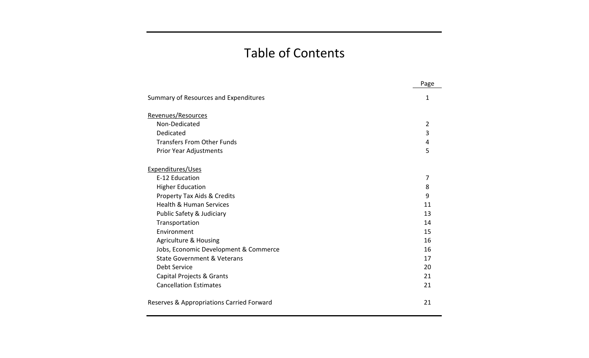## Table of Contents

|                                           | Page           |
|-------------------------------------------|----------------|
| Summary of Resources and Expenditures     | $\mathbf 1$    |
| Revenues/Resources                        |                |
| Non-Dedicated                             | $\overline{2}$ |
| Dedicated                                 | 3              |
| <b>Transfers From Other Funds</b>         | 4              |
| Prior Year Adjustments                    | 5              |
| Expenditures/Uses                         |                |
| E-12 Education                            | 7              |
| <b>Higher Education</b>                   | 8              |
| Property Tax Aids & Credits               | 9              |
| <b>Health &amp; Human Services</b>        | 11             |
| Public Safety & Judiciary                 | 13             |
| Transportation                            | 14             |
| Environment                               | 15             |
| <b>Agriculture &amp; Housing</b>          | 16             |
| Jobs, Economic Development & Commerce     | 16             |
| <b>State Government &amp; Veterans</b>    | 17             |
| Debt Service                              | 20             |
| Capital Projects & Grants                 | 21             |
| <b>Cancellation Estimates</b>             | 21             |
| Reserves & Appropriations Carried Forward | 21             |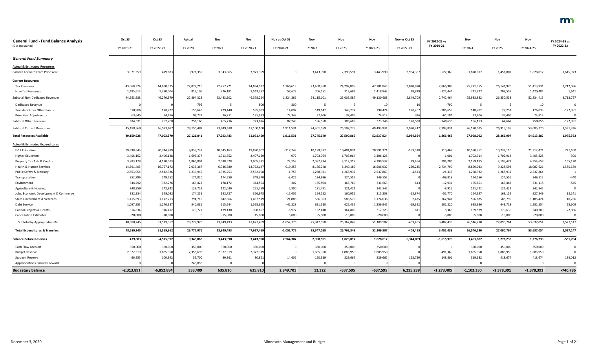| <b>General Fund - Fund Balance Analysis</b><br>(\$ in Thousands) | Oct SS       | Oct SS       | Actual      | Nov        | Nov        | Nov vs Oct SS | Nov        | Nov        | Nov        | Nov vs Oct SS | FY 2022-23 vs<br>FY 2020-21 | Nov          | Nov          | Nov          | FY 2024-25 vs<br>FY 2022-23 |
|------------------------------------------------------------------|--------------|--------------|-------------|------------|------------|---------------|------------|------------|------------|---------------|-----------------------------|--------------|--------------|--------------|-----------------------------|
|                                                                  | FY 2020-21   | FY 2022-23   | FY 2020     | FY 2021    | FY 2020-21 | FY 2020-21    | FY 2022    | FY 2023    | FY 2022-23 | FY 2022-23    |                             | FY 2024      | FY 2025      | FY 2024-25   |                             |
| <b>General Fund Summary</b>                                      |              |              |             |            |            |               |            |            |            |               |                             |              |              |              |                             |
| <b>Actual &amp; Estimated Resources</b>                          |              |              |             |            |            |               |            |            |            |               |                             |              |              |              |                             |
| Balance Forward From Prior Year                                  | 3,971,359    | 479,683      | 3,971,359   | 3,343,865  | 3,971,359  |               | 3,443,990  | 2,398,591  | 3,443,990  | 2,964,307     | $-527,369$                  | 1,828,017    | 1,451,802    | 1,828,017    | $-1,615,973$                |
| <b>Current Resources:</b>                                        |              |              |             |            |            |               |            |            |            |               |                             |              |              |              |                             |
| <b>Tax Revenues</b>                                              | 43,068,324   | 44,880,975   | 22,077,216  | 22,757,721 | 44,834,937 | 1,766,613     | 23,408,950 | 24,292,895 | 47,701,845 | 2,820,870     | 2,866,908                   | 25,271,955   | 26,141,976   | 51,413,931   | 3,712,086                   |
| Non-Tax Revenues                                                 | 1,485,614    | 1,390,004    | 817,106     | 726,181    | 1,543,287  | 57,673        | 706,151    | 712,692    | 1,418,843  | 28,839        | $-124,444$                  | 711,927      | 708,557      | 1,420,484    | 1,641                       |
| Subtotal Non-Dedicated Revenues                                  | 44,553,938   | 46,270,979   | 22,894,322  | 23,483,902 | 46,378,224 | 1,824,28      | 24,115,101 | 25,005,587 | 49,120,688 | 2,849,70      | 2,742,464                   | 25,983,882   | 26,850,533   | 52,834,41    | 3,713,727                   |
| <b>Dedicated Revenue</b>                                         |              |              | 795         |            | 800        | 80            |            |            |            |               | -790                        |              |              |              | $\Omega$                    |
| <b>Transfers From Other Funds</b>                                | 570,986      | 178,222      | 155,643     | 429,440    | 585,083    | 14,097        | 149,147    | 149,277    | 298,424    | 120,202       | $-286,659$                  | 148,782      | 27,251       | 176,033      | $-122,391$                  |
| Prior Year Adjustments                                           | 63,645       | 74,486       | 99,722      | 36,271     | 135,993    | 72,348        | 37,406     | 37,406     | 74,812     | 326           | $-61,181$                   | 37,406       | 37,406       | 74,81        | $\Omega$                    |
| Subtotal Other Revenue                                           | 634,631      | 252,708      | 256,160     | 465,716    | 721,876    | 87,245        | 186,558    | 186,688    | 373,246    | 120,538       | $-348,630$                  | 186,193      | 64,662       | 250,855      | $-122,391$                  |
| <b>Subtotal Current Resources</b>                                | 45,188,569   | 46,523,687   | 23,150,482  | 23,949,618 | 47,100,100 | 1,911,531     | 24,301,659 | 25,192,275 | 49,493,934 | 2,970,247     | 2,393,834                   | 26,170,075   | 26,915,195   | 53,085,270   | 3,591,336                   |
| <b>Total Resources Available</b>                                 | 49,159,928   | 47,003,370   | 27,121,841  | 27,293,483 | 51,071,459 | 1,911,531     | 27,745,649 | 27,590,866 | 52,937,924 | 5,934,554     | 1,866,465                   | 27,998,092   | 28,366,997   | 54,913,287   | 1,975,363                   |
| <b>Actual &amp; Estimated Expenditures</b>                       |              |              |             |            |            |               |            |            |            |               |                             |              |              |              |                             |
| E-12 Education                                                   | 19,998,645   | 20,744,889   | 9,835,739   | 10,045,163 | 19,880,902 | $-117,743$    | 10,189,537 | 10,401,834 | 20,591,371 | $-153,518$    | 710,469                     | 10,580,361   | 10,732,110   | 21,312,47    | 721,100                     |
| <b>Higher Education</b>                                          | 3,406,152    | 3,406,128    | 1,693,377   | 1,713,752  | 3,407,129  | 977           | 1,703,064  | 1,703,064  | 3,406,128  |               | $-1,001$                    | 1,702,914    | 1,702,914    | 3,405,828    | $-300$                      |
| Property Tax Aids & Credits                                      | 3,883,178    | 4,170,073    | 1,866,803   | 2,038,528  | 3,905,331  | 22,153        | 2,087,224  | 2,112,313  | 4,199,537  | 29,464        | 294,206                     | 2,159,185    | 2,195,472    | 4,354,657    | 155,120                     |
| Health & Human Services                                          | 14,691,405   | 16,757,172   | 7,035,367   | 6,736,780  | 13,772,147 | $-919,258$    | 8,166,748  | 8,340,189  | 16,506,937 | $-250,235$    | 2,734,790                   | 8,859,033    | 9,228,593    | 18,087,626   | 1,580,689                   |
| Public Safety & Judiciary                                        | 2,563,954    | 2,542,386    | 1,236,945   | 1,325,253  | 2,562,198  | $-1,756$      | 1,268,931  | 1,268,932  | 2,537,863  | $-4,523$      | $-24,335$                   | 1,268,932    | 1,268,932    | 2,537,864    |                             |
| Transportation                                                   | 352,796      | 249,552      | 174,820     | 174,550    | 349,370    | $-3,426$      | 124,996    | 124,556    | 249,552    |               | $-99,818$                   | 124,556      | 124,556      | 249,11       | $-440$                      |
| Environment                                                      | 344,292      | 332,276      | 166,422     | 178,172    | 344,594    | 302           | 165,894    | 165,769    | 331,663    | $-613$        | $-12,931$                   | 165,651      | 165,467      | 331,118      | $-545$                      |
| Agriculture & Housing                                            | 248,959      | 242,842      | 129,729     | 122,030    | 251,759    | 2,800         | 121,421    | 121,421    | 242,842    |               | $-8,91$                     | 121,421      | 121,421      | 242,842      | $\Omega$                    |
| Jobs, Economic Development & Commerce                            | 382,384      | 329,082      | 174,251     | 192,727    | 366,978    | $-15,406$     | 154,252    | 160,956    | 315,208    | $-13,874$     | $-51,770$                   | 164,197      | 163,152      | 327,34       | 12,141                      |
| State Government & Veterans                                      | 1,415,693    | 1,172,213    | 794,715     | 642,864    | 1,437,579  | 21,886        | 586,063    | 588,575    | 1,174,638  | 2,425         | $-262,941$                  | 596,625      | 588,799      | 1,185,424    | 10,786                      |
| Debt Service                                                     | 1,097,953    | 1,276,337    | 540,081     | 515,544    | 1,055,625  | $-42,328$     | 631,510    | 625,435    | 1,256,945  | $-19,392$     | 201,320                     | 638,836      | 643,718      | 1,282,554    | 25,609                      |
| Capital Projects & Grants                                        | 314,834      | 316,412      | 129,727     | 179,130    | 308,857    | $-5,97$       | 152,418    | 164,805    | 317,223    | 81            | 8,366                       | 169,579      | 170,630      | 340,209      | 22,986                      |
| <b>Cancellation Estimates</b>                                    | $-20,000$    | $-20,000$    | $\mathbf 0$ | $-15,000$  | $-15,000$  | 5,000         | $-5,000$   | $-15,000$  | $-20,000$  |               | $-5,000$                    | $-5,000$     | $-15,000$    | $-20,000$    | 0                           |
| Subtotal by Appropriation Bill                                   | 48,680,245   | 51,519,362   | 23,777,976  | 23,849,493 | 47,627,469 | $-1,052,770$  | 25,347,058 | 25,762,849 | 51,109,907 | $-409,455$    | 3,482,438                   | 26,546,290   | 27,090,764   | 53,637,054   | 2,527,147                   |
| <b>Total Expenditures &amp; Transfers</b>                        | 48,680,245   | 51,519,362   | 23,777,976  | 23,849,493 | 47,627,469 | $-1,052,776$  | 25,347,058 | 25,762,849 | 51,109,907 | -409,455      | 3,482,438                   | 26,546,290   | 27,090,764   | 53,637,054   | 2,527,147                   |
| <b>Balance Before Reserves</b>                                   | 479,683      | $-4,515,992$ | 3,343,865   | 3,443,990  | 3,443,990  | 2,964,307     | 2,398,591  | 1,828,017  | 1,828,017  | 6,344,009     | $-1,615,973$                | 1,451,802    | 1,276,233    | 1,276,233    | $-551,784$                  |
| Cash Flow Account                                                | 350,000      | 350,000      | 350,000     | 350,000    | 350,000    |               | 350,000    | 350,000    | 350,000    |               |                             | 350,000      | 350,000      | 350,000      |                             |
| <b>Budget Reserve</b>                                            | 2,377,319    | 1,885,950    | 2,358,698   | 2,377,319  | 2,377,319  |               | 1,885,950  | 1,885,950  | 1,885,950  |               | $-491,369$                  | 1,885,950    | 1,885,950    | 1,885,950    |                             |
| Stadium Reserve                                                  | 66,255       | 100,942      | 55,700      | 80,861     | 80,861     | 14,606        | 150,319    | 229,662    | 229,662    | 128,720       | 148,801                     | 319,182      | 418,674      | 418,674      | 189,012                     |
| <b>Appropriations Carried Forward</b>                            |              |              | 246,058     |            |            |               | 0          |            |            |               |                             |              |              |              | $\mathbf 0$                 |
| <b>Budgetary Balance</b>                                         | $-2,313,891$ | $-6,852,884$ | 333,409     | 635,810    | 635,810    | 2,949,701     | 12,322     | $-637,595$ | $-637,595$ | 6,215,289     | $-1,273,405$                | $-1,103,330$ | $-1,378,391$ | $-1,378,391$ | $-740,796$                  |

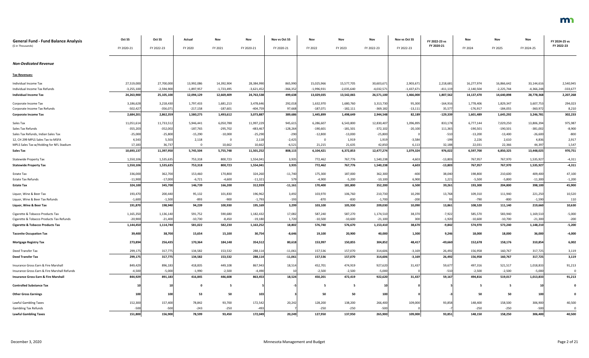| <b>General Fund - Fund Balance Analysis</b><br>(\$ in Thousands) | Oct SS<br>FY 2020-21 | Oct SS<br>FY 2022-23 | Actual<br>FY 2020 | Nov<br>FY 2021 | Nov<br>FY 2020-21 | Nov vs Oct SS<br>FY 2020-21 | Nov<br>FY 2022 | Nov<br>FY 2023 | Nov<br>FY 2022-23 | Nov vs Oct SS<br>FY 2022-23 | FY 2022-23 vs<br>FY 2020-21 | Nov<br>FY 2024 | Nov<br>FY 2025 | Nov<br>FY 2024-25 | FY 2024-25 vs<br>FY 2022-23 |
|------------------------------------------------------------------|----------------------|----------------------|-------------------|----------------|-------------------|-----------------------------|----------------|----------------|-------------------|-----------------------------|-----------------------------|----------------|----------------|-------------------|-----------------------------|
|                                                                  |                      |                      |                   |                |                   |                             |                |                |                   |                             |                             |                |                |                   |                             |
| <b>Non-Dedicated Revenue</b>                                     |                      |                      |                   |                |                   |                             |                |                |                   |                             |                             |                |                |                   |                             |
| <b>Tax Revenues:</b>                                             |                      |                      |                   |                |                   |                             |                |                |                   |                             |                             |                |                |                   |                             |
| Individual Income Tax                                            | 27,519,000           | 27,700,000           | 13,992,086        | 14,392,904     | 28,384,990        | 865,990                     | 15,025,966     | 15,577,705     | 30,603,671        | 2,903,671                   | 2,218,681                   | 16,277,974     | 16,866,642     | 33,144,616        | 2,540,945                   |
| Individual Income Tax Refunds                                    | $-3,255,100$         | $-2,594,900$         | $-1,897,957$      | $-1,723,495$   | $-3,621,452$      | $-366,352$                  | $-1,996,931$   | $-2,035,640$   | $-4,032,572$      | $-1,437,671$                | $-411,119$                  | $-2,140,504$   | $-2,225,744$   | $-4,366,248$      | $-333,677$                  |
| <b>Individual Income Tax</b>                                     | 24,263,900           | 25,105,100           | 12,094,129        | 12,669,409     | 24,763,538        | 499,638                     | 13,029,035     | 13,542,065     | 26,571,100        | 1,466,000                   | 1,807,562                   | 14,137,470     | 14,640,898     | 28,778,368        | 2,207,268                   |
| Corporate Income Tax                                             | 3,186,628            | 3,218,430            | 1,797,433         | 1,681,213      | 3,478,646         | 292,018                     | 1,632,970      | 1,680,760      | 3,313,730         | 95,300                      | $-164,916$                  | 1,778,406      | 1,829,347      | 3,607,753         | 294,023                     |
| Corporate Income Tax Refunds                                     | $-502,427$           | $-356,071$           | $-217,158$        | $-187,601$     | $-404,759$        | 97,668                      | $-187,071$     | $-182,111$     | $-369,182$        | $-13,111$                   | 35,577                      | $-176,917$     | $-184,055$     | $-360,97$         | 8,210                       |
| <b>Corporate Income Tax</b>                                      | 2,684,201            | 2,862,359            | 1,580,275         | 1,493,612      | 3,073,887         | 389,686                     | 1,445,899      | 1,498,649      | 2,944,548         | 82,189                      | $-129,339$                  | 1,601,489      | 1,645,292      | 3,246,781         | 302,233                     |
| Sales Tax                                                        | 11,051,614           | 11,733,512           | 5,946,441         | 6,050,788      | 11,997,229        | 945,615                     | 6,286,607      | 6,543,800      | 12,830,407        | 1,096,895                   | 833,178                     | 6,777,144      | 7,029,250      | 13,806,394        | 975,987                     |
| Sales Tax Refunds                                                | $-355,203$           | $-352,002$           | $-187,765$        | $-295,702$     | $-483,467$        | $-128,264$                  | $-190,601$     | $-181,501$     | $-372,102$        | $-20,100$                   | 111,365                     | $-190,501$     | $-190,501$     | $-381,002$        | $-8,900$                    |
| Sales Tax Refunds, Indian Sales Tax                              | $-25,000$            | $-25,800$            | $-15,290$         | $-10,000$      | $-25,290$         | $-290$                      | $-12,800$      | $-13,000$      | $-25,800$         |                             | $-510$                      | $-13,200$      | $-13,400$      | $-26,600$         | $-800$                      |
| 12, CH 299 MPLS Sales Tax to MSFA                                | 4,543                | 5,503                | 2,118             | 0              | 2,118             | $-2,425$                    |                | 1,919          | 1,919             | $-3,584$                    | $-199$                      | 2,226          | 2,610          | 4,836             | 2,917                       |
| MPLS Sales Tax w/Holding for NFL Stadium                         | 17,183               | 36,737               | $\Omega$          | 10,662         | 10,662            | $-6,521$                    | 21,215         | 21,635         | 42,850            | 6,113                       | 32,188                      | 22,031         | 22,366         | 44,39             | 1,547                       |
| <b>Sales Tax</b>                                                 | 10,693,137           | 11,397,950           | 5,745,504         | 5,755,748      | 11,501,252        | 808,115                     | 6,104,421      | 6,372,853      | 12,477,274        | 1,079,324                   | 976,022                     | 6,597,700      | 6,850,325      | 13,448,025        | 970,751                     |
| <b>Statewide Property Tax</b>                                    | 1,550,106            | 1,535,635            | 753,318           | 800,723        | 1,554,041         | 3,935                       | 772,462        | 767,776        | 1,540,238         | 4,603                       | $-13,803$                   | 767,957        | 767,970        | 1,535,92          | $-4,311$                    |
| <b>Statewide Property Tax</b>                                    | 1,550,106            | 1,535,635            | 753,318           | 800,723        | 1,554,041         | 3,935                       | 772,462        | 767,776        | 1,540,238         | 4,603                       | $-13,803$                   | 767,957        | 767,970        | 1,535,927         | $-4,311$                    |
| Estate Tax                                                       | 336,000              | 362,700              | 153,460           | 170,800        | 324,260           | $-11,740$                   | 175,300        | 187,000        | 362,300           | $-400$                      | 38,040                      | 198,800        | 210,600        | 409,400           | 47,100                      |
| Estate Tax Refunds                                               | $-11,900$            | $-17,000$            | $-6,721$          | $-4,600$       | $-11,321$         | 579                         | $-4,900$       | $-5,200$       | $-10,100$         | 6,900                       | 1,221                       | $-5,500$       | $-5,800$       | $-11,300$         | $-1,200$                    |
| <b>Estate Tax</b>                                                | 324,100              | 345,700              | 146,739           | 166,200        | 312,939           | $-11,161$                   | 170,400        | 181,800        | 352,200           | 6,500                       | 39,261                      | 193,300        | 204,800        | 398,100           | 45,900                      |
| Liquor, Wine & Beer Tax                                          | 193,470              | 200,440              | 95,132            | 101,830        | 196,962           | 3,492                       | 103,970        | 106,760        | 210,730           | 10,290                      | 13,768                      | 109,310        | 111,940        | 221,250           | 10,520                      |
| Liquor, Wine & Beer Tax Refunds                                  | $-1,600$             | $-1,500$             | -893              | $-900$         | $-1,793$          | $-193$                      | -870           | -830           | $-1,700$          | $-200$                      | 93                          | -790           | $-800$         | $-1,590$          | 110                         |
| Liquor, Wine & Beer Tax                                          | 191,870              | 198,940              | 94,239            | 100,930        | 195,169           | 3,299                       | 103,100        | 105,930        | 209,030           | 10,090                      | 13,861                      | 108,520        | 111,140        | 219,660           | 10,630                      |
| Cigarette & Tobacco Products Tax                                 | 1,165,350            | 1,136,140            | 591,752           | 590,680        | 1,182,432         | 17,082                      | 587,240        | 587,270        | 1,174,510         | 38,370                      | $-7,922$                    | 585,570        | 583,940        | 1,169,510         | $-5,000$                    |
| Cigarette & Tobacco Products Tax Refunds                         | $-20,900$            | $-21,400$            | $-10,730$         | $-8,450$       | $-19,180$         | 1,720                       | $-10,500$      | $-10,600$      | $-21,100$         | 300                         | $-1,920$                    | $-10,600$      | $-10,700$      | $-21,300$         | $-200$                      |
| <b>Cigarette &amp; Tobacco Products Tax</b>                      | 1,144,450            | 1,114,740            | 581,022           | 582,230        | 1,163,252         | 18,802                      | 576,740        | 576,670        | 1,153,410         | 38,670                      | $-9,842$                    | 574,970        | 573,240        | 1,148,210         | $-5,200$                    |
| <b>Taconite Occupation Tax</b>                                   | 39,400               | 38,700               | 15,654            | 15,100         | 30,754            | $-8,646$                    | 19,100         | 20,900         | 40,000            | 1,300                       | 9,246                       | 18,000         | 18,000         | 36,000            | $-4,000$                    |
| <b>Mortgage Registry Tax</b>                                     | 273,894              | 256,435              | 170,364           | 184,148        | 354,512           | 80,618                      | 153,997        | 150,855        | 304,852           | 48,417                      | $-49,660$                   | 152,678        | 158,176        | 310,854           | 6,002                       |
| Deed Transfer Tax                                                | 299,175              | 317,775              | 134,582           | 153,532        | 288,114           | $-11,061$                   | 157,536        | 157,070        | 314,606           | $-3,169$                    | 26,492                      | 156,958        | 160,767        | 317,725           | 3,119                       |
| <b>Deed Transfer Tax</b>                                         | 299,175              | 317,775              | 134,582           | 153,532        | 288,114           | $-11,061$                   | 157,536        | 157,070        | 314,606           | $-3,169$                    | 26,492                      | 156,958        | 160,767        | 317,725           | 3,119                       |
| Insurance Gross Earn & Fire Marshall                             | 849,429              | 896,183              | 418,835           | 449,108        | 867,943           | 18,514                      | 452,701        | 474,919        | 927,620           | 31,437                      | 59,677                      | 497,316        | 521,517        | 1,018,833         | 91,213                      |
| Insurance Gross Earn & Fire Marshall Refunds                     | $-4,500$             | $-5,000$             | $-1,990$          | $-2,500$       | $-4,490$          |                             | $-2,500$       | $-2,500$       | $-5,000$          |                             | $-510$                      | $-2,500$       | $-2,500$       | $-5,000$          |                             |
| <b>Insurance Gross Earn &amp; Fire Marshall</b>                  | 844,929              | 891,183              | 416,845           | 446,608        | 863,453           | 18,524                      | 450,201        | 472,419        | 922,620           | 31,437                      | 59,167                      | 494,816        | 519,017        | 1,013,833         | 91,213                      |
| <b>Controlled Substance Tax</b>                                  |                      |                      |                   | -5             |                   |                             |                | -5             |                   |                             |                             | - 5            |                |                   |                             |
| <b>Other Gross Earnings</b>                                      | 100                  | 100                  | 53                | 50             | 103               |                             | 50             | 50             | 100               |                             |                             | 50             | 50             | 100               |                             |
| Lawful Gambling Taxes                                            | 152,300              | 157,400              | 78,842            | 93,700         | 172,542           | 20,242                      | 128,200        | 138,200        | 266,400           | 109,000                     | 93,858                      | 148,400        | 158,500        | 306,900           | 40,500                      |
| <b>Gambling Tax Refunds</b>                                      | $-500$               | $-500$               | $-243$            | $-250$         | $-493$            |                             | $-250$         | $-250$         | $-500$            |                             |                             | $-250$         | $-250$         | $-500$            |                             |
| <b>Lawful Gambling Taxes</b>                                     | 151,800              | 156,900              | 78,599            | 93,450         | 172,049           | 20,249                      | 127,950        | 137,950        | 265,900           | 109,000                     | 93,851                      | 148,150        | 158,250        | 306,400           | 40,500                      |

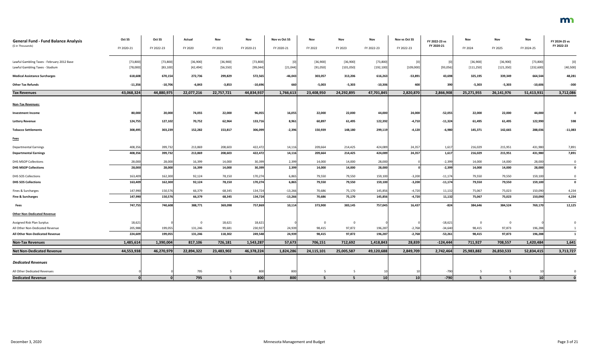| <b>General Fund - Fund Balance Analysis</b> | Oct SS     | Oct SS     | Actual     | Nov        | Nov        | Nov vs Oct SS | Nov        | Nov        | Nov        | Nov vs Oct SS | FY 2022-23 vs | Nov        | Nov        | Nov        | FY 2024-25 vs  |
|---------------------------------------------|------------|------------|------------|------------|------------|---------------|------------|------------|------------|---------------|---------------|------------|------------|------------|----------------|
| (\$ in Thousands)                           | FY 2020-21 | FY 2022-23 | FY 2020    | FY 2021    | FY 2020-21 | FY 2020-21    | FY 2022    | FY 2023    | FY 2022-23 | FY 2022-23    | FY 2020-21    | FY 2024    | FY 2025    | FY 2024-25 | FY 2022-23     |
| Lawful Gambling Taxes - February 2012 Base  | [73,800]   | [73, 800]  | [36,900]   | [36,900]   | [73, 800]  |               | [36,900]   | [36,900]   | [73, 800]  | [0]           |               | [36,900]   | [36,900]   | [73, 800]  | [0]            |
| Lawful Gambling Taxes - Stadium             | [78,000]   | [83, 100]  | [42, 494]  | [56, 550]  | [99, 044]  | [21, 044]     | [91,050]   | [101, 050] | [192, 100] | [109,000]     | [93,056]      | [111, 250] | [121, 350] | [232, 600] | [40, 500]      |
| <b>Medical Assistance Surcharges</b>        | 618,608    | 670,154    | 272,736    | 299,829    | 572,565    | $-46,043$     | 303,057    | 313,206    | 616,263    | $-53,891$     | 43,698        | 325,195    | 339,349    | 664,544    | 48,281         |
| <b>Other Tax Refunds</b>                    | $-11,356$  | $-10,706$  | $-6,843$   | $-3,853$   | $-10,696$  | 660           | $-5,003$   | $-5,303$   | $-10,306$  | 400           | 390           | $-5,303$   | $-5,303$   | $-10,606$  | $-300$         |
| <b>Tax Revenues</b>                         | 43,068,324 | 44,880,975 | 22,077,216 | 22,757,721 | 44,834,937 | 1,766,613     | 23,408,950 | 24,292,895 | 47,701,845 | 2,820,870     | 2,866,908     | 25,271,955 | 26,141,976 | 51,413,931 | 3,712,086      |
| <b>Non-Tax Revenues:</b>                    |            |            |            |            |            |               |            |            |            |               |               |            |            |            |                |
| <b>Investment Income</b>                    | 80,000     | 20,000     | 74,055     | 22,000     | 96,055     | 16,055        | 22,000     | 22,000     | 44,000     | 24,000        | $-52,055$     | 22,000     | 22,000     | 44,000     | $\mathbf 0$    |
| <b>Lottery Revenue</b>                      | 124,755    | 127,102    | 70,752     | 62,964     | 133,716    | 8,961         | 60,897     | 61,495     | 122,392    | $-4,710$      | $-11,324$     | 61,495     | 61,495     | 122,990    | 598            |
| <b>Tobacco Settlements</b>                  | 308,495    | 303,239    | 152,282    | 153,817    | 306,099    | $-2,396$      | 150,939    | 148,180    | 299,119    | $-4,120$      | $-6,980$      | 145,371    | 142,665    | 288,036    | $-11,083$      |
| <b>Fees</b>                                 |            |            |            |            |            |               |            |            |            |               |               |            |            |            |                |
| <b>Departmental Earnings</b>                | 408,356    | 399,732    | 213,869    | 208,603    | 422,472    | 14,116        | 209,664    | 214,425    | 424,089    | 24,357        | 1,617         | 216,029    | 215,951    | 431,980    | 7,891          |
| <b>Departmental Earnings</b>                | 408,356    | 399,732    | 213,869    | 208,603    | 422,472    | 14,116        | 209,664    | 214,425    | 424,089    | 24,357        | 1,617         | 216,029    | 215,951    | 431,980    | 7,891          |
| <b>DHS MSOP Collections</b>                 | 28,000     | 28,000     | 16,399     | 14,000     | 30,399     | 2,399         | 14,000     | 14,000     | 28,000     |               | $-2,399$      | 14,000     | 14,000     | 28,000     | $\overline{0}$ |
| <b>DHS MSOP Collections</b>                 | 28,000     | 28,000     | 16,399     | 14,000     | 30,399     | 2,399         | 14,000     | 14,000     | 28,000     |               | $-2,399$      | 14,000     | 14,000     | 28,000     | $\mathbf 0$    |
| DHS SOS Collections                         | 163,409    | 162,300    | 92,124     | 78,150     | 170,274    | 6,865         | 79,550     | 79,550     | 159,100    | $-3,200$      | $-11,174$     | 79,550     | 79,550     | 159,100    | $\mathbf 0$    |
| <b>DHS SOS Collections</b>                  | 163,409    | 162,300    | 92,124     | 78,150     | 170,274    | 6,865         | 79,550     | 79,550     | 159,100    | $-3,200$      | $-11,174$     | 79,550     | 79,550     | 159,100    | $\bf{0}$       |
| Fines & Surcharges                          | 147,990    | 150,576    | 66,379     | 68,345     | 134,724    | $-13,266$     | 70,686     | 75,170     | 145,856    | $-4,720$      | 11,132        | 75,067     | 75,023     | 150,090    | 4,234          |
| Fine & Surcharges                           | 147,990    | 150,576    | 66,379     | 68,345     | 134,724    | $-13,266$     | 70,686     | 75,170     | 145,856    | $-4,720$      | 11,132        | 75,067     | 75,023     | 150,090    | 4,234          |
| <b>Fees</b>                                 | 747,755    | 740,608    | 388,771    | 369,098    | 757,869    | 10,114        | 373,900    | 383,145    | 757,045    | 16,437        | $-824$        | 384,646    | 384,524    | 769,170    | 12,125         |
| <b>Other Non-Dedicated Revenue</b>          |            |            |            |            |            |               |            |            |            |               |               |            |            |            |                |
| Assigned Risk Plan Surplus                  | 18,621     |            | $\Omega$   | 18,621     | 18,621     |               |            | 0          |            |               | $-18,621$     | 0          | - 0        |            |                |
| All Other Non-Dedicated Revenue             | 205,988    | 199,055    | 131,246    | 99,681     | 230,927    | 24,939        | 98,415     | 97,872     | 196,287    | $-2,768$      | $-34,640$     | 98,415     | 97,873     | 196,288    |                |
| All Other Non-Dedicated Revenue             | 224,609    | 199,055    | 131,246    | 118,302    | 249,548    | 24,939        | 98,415     | 97,872     | 196,287    | $-2,768$      | $-53,261$     | 98,415     | 97,873     | 196,288    | 1              |
| <b>Non-Tax Revenues</b>                     | 1,485,614  | 1,390,004  | 817,106    | 726,181    | 1,543,287  | 57,673        | 706,151    | 712,692    | 1,418,843  | 28,839        | $-124,444$    | 711,927    | 708,557    | 1,420,484  | 1,641          |
| <b>Net Non-Dedicated Revenue</b>            | 44,553,938 | 46,270,979 | 22,894,322 | 23,483,902 | 46,378,224 | 1,824,286     | 24,115,101 | 25,005,587 | 49,120,688 | 2,849,709     | 2,742,464     | 25,983,882 | 26,850,533 | 52,834,415 | 3,713,727      |
| <b>Dedicated Revenues</b>                   |            |            |            |            |            |               |            |            |            |               |               |            |            |            |                |
| All Other Dedicated Revenues                |            |            | 795        |            | 800        | 800           |            |            |            |               | -790          |            |            |            |                |
| <b>Dedicated Revenue</b>                    |            |            | 795        | -5         | 800        | 800           | 5          | -5         | 10         | 10            | $-790$        | 5          | - 5        | 10         |                |

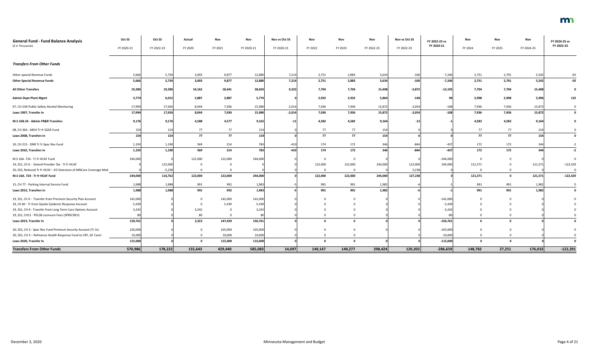| <b>General Fund - Fund Balance Analysis</b>                       | Oct SS     | Oct SS     | Actual  | Nov     | Nov        | Nov vs Oct SS | Nov      | Nov     | Nov        | Nov vs Oct SS | FY 2022-23 vs | Nov     | Nov     | Nov        | FY 2024-25 vs |
|-------------------------------------------------------------------|------------|------------|---------|---------|------------|---------------|----------|---------|------------|---------------|---------------|---------|---------|------------|---------------|
| (\$ in Thousands)                                                 | FY 2020-21 | FY 2022-23 | FY 2020 | FY 2021 | FY 2020-21 | FY 2020-21    | FY 2022  | FY 2023 | FY 2022-23 | FY 2022-23    | FY 2020-21    | FY 2024 | FY 2025 | FY 2024-25 | FY 2022-23    |
| <b>Transfers From Other Funds</b>                                 |            |            |         |         |            |               |          |         |            |               |               |         |         |            |               |
| Other special Revenue Funds                                       | 5,666      | 5,734      | 3,003   | 9,877   | 12,880     | 7,214         | 2,751    | 2,883   | 5,634      | $-100$        | $-7,246$      | 2,751   | 2,791   | 5,542      | $-92$         |
| <b>Other Special Revenue Funds</b>                                | 5,666      | 5,734      | 3,003   | 9,877   | 12,880     | 7,214         | 2,751    | 2,883   | 5,634      | $-100$        | $-7,246$      | 2,751   | 2,791   | 5,542      | $-92$         |
| <b>All Other Transfers</b>                                        | 19,280     | 19,280     | 10,162  | 18,441  | 28,603     | 9,323         | 7,704    | 7,704   | 15,408     | $-3,872$      | $-13,195$     | 7,704   | 7,704   | 15,408     | $\mathbf 0$   |
| <b>Admin Dept-Plant Mgmt</b>                                      | 5,774      | 6,012      | 2,887   | 2,887   | 5,774      |               | 2,932    | 2,932   | 5,864      | $-148$        | 90            | 2,998   | 2,998   | 5,996      | 132           |
| 97, CH 239-Public Safety Alcohol Monitoring                       | 17,994     | 17,926     | 8,044   | 7,936   | 15,980     | $-2,014$      | 7,936    | 7,936   | 15,872     | $-2,054$      | $-108$        | 7,936   | 7,936   | 15,872     | $\Omega$      |
| Laws 1997, Transfer In                                            | 17,994     | 17,926     | 8,044   | 7,936   | 15,980     | $-2,014$      | 7,936    | 7,936   | 15,872     | $-2,054$      | $-108$        | 7,936   | 7,936   | 15,872     | $\mathbf 0$   |
| M.S 16B.24 - Admin FR&R Transfers                                 | 9,176      | 9,176      | 4,588   | 4,577   | 9,165      | $-11$         | 4,582    | 4,582   | 9,164      | $-12$         |               | 4,582   | 4,582   | 9,164      |               |
| 08, CH 364 - MDH Tr fr SGSR Fund                                  | 154        | 154        | 77      | 77      | 154        |               | 77       | 77      | 154        |               |               | 77      | 77      | 154        |               |
| Laws 2008, Transfers In                                           | 154        | 154        | 77      | 77      | 154        |               | 77       | 77      | 154        |               |               | 77      | 77      | 154        | $\mathbf 0$   |
| 10, CH 215 - DNR Tr fr Spec Rev Fund                              | 1,193      | 1,190      | 569     | 214     | 783        | $-410$        | 174      | 172     | 346        | $-844$        | $-437$        | 172     | 172     | 344        | $-2$          |
| Laws 2010, Transfers In                                           | 1,193      | 1,190      | 569     | 214     | 783        | $-410$        | 174      | 172     | 346        | $-844$        | $-437$        | 172     | 172     | 344        | $-2$          |
| M.S 16A. 724 - Tr fr HCAF Fund                                    | 244,000    |            | 122,000 | 122,000 | 244,000    |               | $\Omega$ |         |            |               | $-244,000$    |         |         |            | $\Omega$      |
| 19, SS1, Ch 6 - Extend Provider Tax - Tr fr HCAF                  |            | 122,000    |         |         |            |               | 122,000  | 122,000 | 244,000    | 122,000       | 244,000       | 121,571 |         | 121,571    | $-122,429$    |
| 20, SS5, Reduced Tr fr HCAF - EO Extension of MNCare Coverage Mod |            | $-5,238$   |         |         |            |               | $\Omega$ |         |            | 5,238         |               |         |         |            | $\Omega$      |
| M.S 16A. 724 - Tr fr HCAF Fund                                    | 244,000    | 116,762    | 122,000 | 122,000 | 244,000    |               | 122,000  | 122,000 | 244,000    | 127,238       |               | 121,571 | 0       | 121,571    | $-122,429$    |
| 15, CH 77 - Parking Internal Service Fund                         | 1,988      | 1,988      | 991     | 992     | 1,983      |               | 991      | 991     | 1,982      |               |               | 991     | 991     | 1,982      | $\mathbf 0$   |
| Laws 2015, Transfers In                                           | 1,988      | 1,988      | 991     | 992     | 1,983      |               | 991      | 991     | 1,982      |               |               | 991     | 991     | 1,982      | $\mathbf 0$   |
| 19, SS1, Ch 9 - Transfer from Premium Security Plan Account       | 142,000    |            |         | 142,000 | 142,000    |               |          |         |            |               | $-142,000$    |         |         |            |               |
| 19, Ch 60 - Tr from Opiate Epidemic Response Account              | 5,439      |            |         | 5,439   | 5,439      |               |          |         |            |               | $-5,439$      |         |         |            |               |
| 19, SS1, CH 9 - Transfer from Long Term Care Options Account      | 3,242      |            | 3,242   |         | 3,242      |               |          |         |            |               | $-3,242$      |         |         |            |               |
| 19, SS1, CH11 - PELSB Licensure Fees (SPRECREV)                   |            |            | 80      |         |            |               |          |         |            |               |               |         |         |            |               |
| Laws 2019, Transfer In                                            | 150,761    |            | 3,322   | 147,439 | 150,761    |               |          |         |            |               | $-150,761$    |         |         |            |               |
| 20, SS5, CH 3 - Spec Rev Fund Premium Security Account (Tr In)    | 105,000    |            |         | 105,000 | 105,000    |               |          |         |            |               | $-105,000$    |         |         |            |               |
| 20, SS5, CH 3 - Refinance Health Response Fund to CRF, GF Cancl   | 10,000     |            |         | 10,000  | 10,000     |               |          |         |            |               | $-10,000$     |         |         |            |               |
| Laws 2020, Transfer In                                            | 115,000    |            |         | 115,000 | 115,000    |               |          |         |            |               | $-115,000$    |         |         |            |               |
| <b>Transfers From Other Funds</b>                                 | 570,986    | 178,222    | 155,643 | 429,440 | 585,083    | 14,097        | 149,147  | 149,277 | 298,424    | 120,202       | $-286,659$    | 148,782 | 27,251  | 176,033    | $-122,391$    |

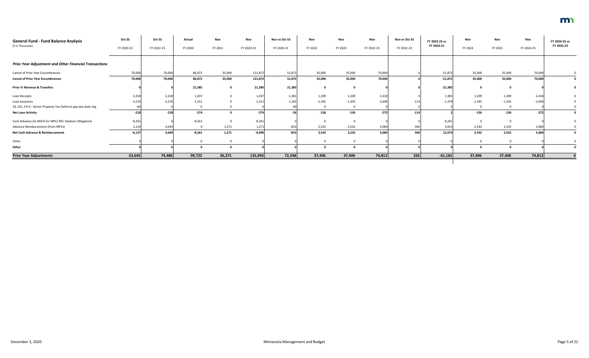| <b>General Fund - Fund Balance Analysis</b>                   | Oct SS     | Oct SS     | Actual   | <b>Nov</b> | Nov        | Nov vs Oct SS | Nov      | Nov      | Nov        | Nov vs Oct SS | FY 2022-23 vs | Nov      | Nov      | Nov        | FY 2024-25 vs |
|---------------------------------------------------------------|------------|------------|----------|------------|------------|---------------|----------|----------|------------|---------------|---------------|----------|----------|------------|---------------|
| (\$ in Thousands)                                             | FY 2020-21 | FY 2022-23 | FY 2020  | FY 2021    | FY 2020-21 | FY 2020-21    | FY 2022  | FY 2023  | FY 2022-23 | FY 2022-23    | FY 2020-21    | FY 2024  | FY 2025  | FY 2024-25 | FY 2022-23    |
| <b>Prior Year Adjustment and Other Financial Transactions</b> |            |            |          |            |            |               |          |          |            |               |               |          |          |            |               |
| <b>Cancel of Prior Year Encumbrances</b>                      | 70,000     | 70,000     | 86,872   | 35,000     | 121,872    | 51,872        | 35,000   | 35,000   | 70,000     |               | $-51,872$     | 35,000   | 35,000   | 70,000     |               |
| <b>Cancel of Prior Year Encumbrances</b>                      | 70,000     | 70,000     | 86,872   | 35,000     | 121,872    | 51,872        | 35,000   | 35,000   | 70,000     |               | $-51,872$     | 35,000   | 35,000   | 70,000     | $\mathbf{0}$  |
| <b>Prior Yr Revenue &amp; Transfers</b>                       |            |            | 21,385   |            | 21,385     | 21,385        | $\Omega$ |          |            |               | $-21,385$     |          |          |            |               |
| Loan Receipts                                                 | 2,418      | 2,418      | 1,037    |            | 1,03       | $-1,381$      | 1,209    | 1,209    | 2,418      |               | 1,381         | 1,209    | 1,209    | 2,418      |               |
| Loan Issuances                                                | $-2,576$   | $-2,576$   | $-1,311$ |            | $-1,311$   | 1,265         | $-1,345$ | $-1,345$ | $-2,690$   | $-11$         | $-1,379$      | $-1,345$ | $-1,345$ | $-2,690$   |               |
| 19, SS1, CH 6 - Senior Property Tax Deferral app due date chg |            |            |          |            |            |               |          |          |            |               |               |          |          |            |               |
| <b>Net Loan Activity</b>                                      | $-218$     | $-158$     | $-274$   |            | $-274$     |               | $-136$   | $-136$   | $-272$     | $-114$        |               | $-136$   | $-136$   | $-272$     |               |
| Cash Advance (to MSFA for MPLS NFL Stadium Obligation)        | $-8,261$   |            | $-8,261$ |            | $-8,261$   |               |          |          |            |               | 8,261         |          |          |            |               |
| Advance Reimbursement (from MPLS)                             | 2,124      | 4,644      |          | 1,271      | 1,271      | $-853$        | 2,542    | 2,542    | 5,084      |               | 3,813         | 2,542    | 2,542    | 5,084      |               |
| Net Cash Advance & Reimbursement                              | $-6,137$   | 4,644      | $-8,261$ | 1,271      | $-6,990$   | $-853$        | 2,542    | 2,542    | 5,084      | 44            | 12,074        | 2,542    | 2,542    | 5,084      |               |
| Other                                                         |            |            |          |            |            |               | $\Omega$ |          |            |               |               |          |          |            |               |
| Other                                                         |            |            |          |            |            |               |          |          |            |               |               |          |          |            |               |
| <b>Prior Year Adjustments</b>                                 | 63,645     | 74,486     | 99,722   | 36,271     | 135,993    | 72,348        | 37,406   | 37,406   | 74,812     | 326           | $-61,181$     | 37,406   | 37,406   | 74,812     |               |
|                                                               |            |            |          |            |            |               |          |          |            |               |               |          |          |            |               |

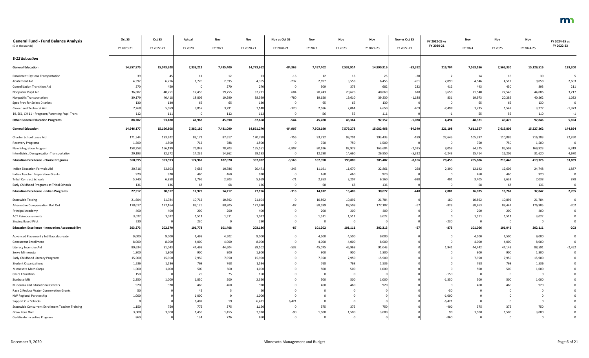| <b>General Fund - Fund Balance Analysis</b>             | Oct SS     | Oct SS     | Actual      | Nov       | Nov        | Nov vs Oct SS | Nov          | Nov         | Nov        | Nov vs Oct SS | FY 2022-23 vs | Nov       | Nov       | Nov        | FY 2024-25 vs |
|---------------------------------------------------------|------------|------------|-------------|-----------|------------|---------------|--------------|-------------|------------|---------------|---------------|-----------|-----------|------------|---------------|
| (\$ in Thousands)                                       | FY 2020-21 | FY 2022-23 | FY 2020     | FY 2021   | FY 2020-21 | FY 2020-21    | FY 2022      | FY 2023     | FY 2022-23 | FY 2022-23    | FY 2020-21    | FY 2024   | FY 2025   | FY 2024-25 | FY 2022-23    |
| <b>E-12 Education</b>                                   |            |            |             |           |            |               |              |             |            |               |               |           |           |            |               |
| <b>General Education</b>                                | 14,857,975 | 15,073,628 | 7,338,212   | 7,435,400 | 14,773,612 | $-84,363$     | 7,457,402    | 7,532,914   | 14,990,316 | $-83,312$     | 216,704       | 7,563,186 | 7,566,330 | 15,129,516 | 139,200       |
| <b>Enrollment Options Transportation</b>                |            |            | 11          | 12        |            | -16           | 12           | 13          | 25         | $-20$         |               | 14        | 16        |            |               |
| Abatement Aid                                           | 4,597      | 6,716      | 1,770       | 2,595     | 4,365      | $-232$        | 2,897        | 3,558       | 6,455      | $-261$        | 2,090         | 4,546     | 4,512     | 9,058      | 2,603         |
| <b>Consolidation Transition Aid</b>                     | 270        | 450        | $\mathbf 0$ | 270       | 270        |               | 309          | 373         | 682        | 232           | 412           | 443       | 450       | 893        | 211           |
| Nonpublic Pupil Aid                                     | 36,607     | 40,251     | 17,456      | 19,755    | 37,211     | 604           | 20,243       | 20,626      | 40,869     | 618           | 3,658         | 21,540    | 22,546    | 44,086     | 3,217         |
| Nonpublic Transportation                                | 39,179     | 40,418     | 18,809      | 19,590    | 38,399     | $-780$        | 19,620       | 19,610      | 39,230     | $-1,188$      | 831           | 19,973    | 20,289    | 40,262     | 1,032         |
| Spec Prov for Select Districts                          | 130        | 130        | 65          | 65        | 130        |               | 65           | 65          | 130        |               |               | 65        | 65        | 130        | $\Omega$      |
| Career and Technical Aid                                | 7,268      | 5,059      | 3,857       | 3,291     | 7,148      | $-120$        | 2,586        | 2,064       | 4,650      | $-409$        | $-2,498$      | 1,735     | 1,542     | 3,277      | $-1,373$      |
| 19, SS1, CH 11 - Pregnant/Parenting Pupil Trans         | 112        | 111        | $\Omega$    | 112       | 112        |               | 56           | 55          | 111        |               |               | 55        | 55        | 110        | $-1$          |
| <b>Other General Education Programs</b>                 | 88,202     | 93,180     | 41,968      | 45,690    | 87,658     | $-544$        | 45,788       | 46,364      | 92,152     | $-1,028$      | 4,494         | 48,371    | 49,475    | 97,846     | 5,694         |
| <b>General Education</b>                                | 14,946,177 | 15,166,808 | 7,380,180   | 7,481,090 | 14,861,270 | $-84,907$     | 7,503,190    | 7,579,278   | 15,082,468 | $-84,340$     | 221,198       | 7,611,557 | 7,615,805 | 15,227,362 | 144,894       |
| Charter School Lease Aid                                | 171,544    | 193,622    | 83,171      | 87,617    | 170,788    | $-756$        | 93,732       | 99,701      | 193,433    | $-189$        | 22,645        | 105,397   | 110,886   | 216,283    | 22,850        |
| Recovery Programs                                       | 1,500      | 1,500      | 712         | 788       | 1,500      |               | 750          | 750         | 1,500      |               |               | 750       | 750       | 1,500      | $\mathbf 0$   |
| New Integration Program                                 | 158,358    | 166,199    | 76,848      | 78,703    | 155,551    | $-2,807$      | 80,626       | 82,978      | 163,604    | $-2,595$      | 8,053         | 84,325    | 85,598    | 169,923    | 6,319         |
| Interdistrict Desegregation Transportation              | 29,193     | 32,272     | 14,231      | 14,962    | 29,193     |               | 12,290       | 14,660      | 26,950     | $-5,322$      | $-2,243$      | 15,414    | 16,206    | 31,620     | 4,670         |
| <b>Education Excellence - Choice Programs</b>           | 360,595    | 393,593    | 174,962     | 182,070   | 357,032    | $-3,563$      | 187,398      | 198,089     | 385,487    | $-8,106$      | 28,455        | 205,886   | 213,440   | 419,326    | 33,839        |
| Indian Education Formula Aid                            | 20,716     | 22,603     | 9,685       | 10,786    | 20,471     | $-245$        | 11,191       | 11,670      | 22,861     | 258           | 2,390         | 12,142    | 12,606    | 24,748     | 1,887         |
| <b>Indian Teacher Preparation Grants</b>                | 920        | 920        | 460         | 460       | 920        |               | 460          | 460         | 920        |               |               | 460       | 460       | 920        | $\mathbf 0$   |
| <b>Tribal Contract Schools</b>                          | 5,740      | 6,858      | 2,766       | 2,903     | 5,669      |               | 2,953        | 3,207       | 6,160      | $-698$        | 491           | 3,405     | 3,633     | 7,038      | 878           |
| Early Childhood Programs at Tribal Schools              | 136        | 136        | 68          | 68        | 136        |               | 68           | 68          | 136        |               |               | 68        | 68        | 136        | $\Omega$      |
| <b>Education Excellence - Indian Programs</b>           | 27,512     | 30,517     | 12,979      | 14,217    | 27,196     | $-316$        | 14,672       | 15,405      | 30,077     | $-440$        | 2,881         | 16,075    | 16,767    | 32,842     | 2,765         |
| <b>Statewide Testing</b>                                | 21,604     | 21,784     | 10,712      | 10,892    | 21,604     |               | 10,892       | 10,892      | 21,784     |               | 180           | 10,892    | 10,892    | 21,784     | $\Omega$      |
| Alternative Compensation Roll Out                       | 178,017    | 177,164    | 89,125      | 88,805    | 177,930    |               | 88,599       | 88,508      | 177,107    | -5.           | $-823$        | 88,463    | 88,442    | 176,905    | $-202$        |
| Principal Academy                                       | 400        | 400        | 200         | 200       | 400        |               | 200          | 200         | 400        |               |               | 200       | 200       | 400        |               |
| <b>ACT Reimbursements</b>                               | 3,022      | 3,022      | 1,511       | 1,511     | 3,022      |               | 1,511        | 1,511       | 3,022      |               |               | 1,511     | 1,511     | 3,022      |               |
| <b>Singing Based Pilot</b>                              | 230        |            | 230         |           | 230        |               | $\mathbf{0}$ | $\Omega$    |            |               | $-230$        | $\Omega$  |           |            |               |
| <b>Education Excellence - Innovation Accountability</b> | 203,273    | 202,370    | 101,778     | 101,408   | 203,186    |               | 101,202      | 101,111     | 202,313    | $-57$         | $-873$        | 101,066   | 101,045   | 202,111    | $-202$        |
| Advanced Placement / Intl Baccalaureate                 | 9,000      | 9,000      | 4,498       | 4,502     | 9,000      |               | 4,500        | 4,500       | 9,000      |               |               | 4,500     | 4,500     | 9,000      |               |
| <b>Concurrent Enrollment</b>                            | 8,000      | 8,000      | 4,000       | 4,000     | 8,000      |               | 4,000        | 4,000       | 8,000      |               |               | 4,000     | 4,000     | 8,000      |               |
| Literacy Incentive Aid                                  | 89,634     | 91,043     | 44,498      | 44,604    | 89,102     | $-53.$        | 45,075       | 45,968      | 91,043     |               | 1,941         | 44,442    | 44,149    | 88,591     | $-2,452$      |
| Serve Minnesota                                         | 1,800      | 1,800      | 900         | 900       | 1,800      |               | 900          | 900         | 1,800      |               |               | 900       | 900       | 1,800      |               |
| Early Childhood Literacy Programs                       | 15,900     | 15,900     | 7,950       | 7,950     | 15,900     |               | 7,950        | 7,950       | 15,900     |               |               | 7,950     | 7,950     | 15,900     |               |
| <b>Student Organizations</b>                            | 1,536      | 1,536      | 768         | 768       | 1,536      |               | 768          | 768         | 1,536      |               |               | 768       | 768       | 1,536      |               |
| Minnesota Math Corps                                    | 1,000      | 1,000      | 500         | 500       | 1,000      |               | 500          | 500         | 1,000      |               |               | 500       | 500       | 1,000      |               |
| <b>Civics Education</b>                                 | 150        |            | 75          | 75        | 150        |               |              |             |            |               | $-150$        |           |           |            |               |
| Starbase MN                                             | 2,350      | 1,000      | 1,850       | 500       | 2,350      |               | 500          | 500         | 1,000      |               | $-1,350$      | 500       | 500       | 1,000      |               |
| Museums and Educational Centers                         | 920        |            | 460         | 460       | 920        |               | 460          | 460         | 920        |               |               | 460       | 460       | 920        |               |
| Race 2 Reduce Water Conservation Grants                 |            |            | 45          |           |            |               |              |             |            |               |               |           |           |            |               |
| NW Regional Partnership                                 | 1,000      |            | 1,000       |           | 1,000      |               |              |             |            |               | $-1,000$      |           |           |            |               |
| Support Our Schools                                     |            |            | 6,402       | 19        | 6,421      | 6,42          |              |             |            |               | $-6,421$      |           |           |            |               |
| Statewide Concurrent Enrollment Teacher Training        | 1,150      | 750        | 775         | 375       | 1,150      |               | 375          | 375         | 750        |               | $-400$        | 375       | 375       | 750        |               |
| Grow Your Own                                           | 3,000      | 3,000      | 1,455       | 1,455     | 2,910      |               | 1,500        | 1,500       | 3,000      |               | 90            | 1,500     | 1,500     | 3,000      |               |
| Certificate Incentive Program                           | 860        |            | 134         | 726       | 860        |               | $\Omega$     | $\mathbf 0$ |            |               | -860          | $\Omega$  |           |            |               |

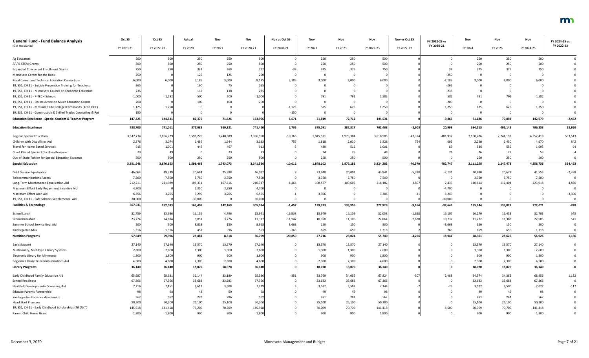| <b>General Fund - Fund Balance Analysis</b><br>(\$ in Thousands)    | Oct SS<br>FY 2020-21 | Oct SS<br>FY 2022-23 | Actual<br>FY 2020 | <b>Nov</b><br>FY 2021 | Nov<br>FY 2020-21 | Nov vs Oct SS<br>FY 2020-21 | Nov<br>FY 2022 | Nov<br>FY 2023 | Nov<br>FY 2022-23 | Nov vs Oct SS<br>FY 2022-23 | FY 2022-23 vs<br>FY 2020-21 | Nov<br>FY 2024 | Nov<br>FY 2025 | Nov<br>FY 2024-25 | FY 2024-25 vs<br>FY 2022-23 |
|---------------------------------------------------------------------|----------------------|----------------------|-------------------|-----------------------|-------------------|-----------------------------|----------------|----------------|-------------------|-----------------------------|-----------------------------|----------------|----------------|-------------------|-----------------------------|
|                                                                     |                      |                      |                   |                       |                   |                             |                |                |                   |                             |                             |                |                |                   |                             |
| Ag Educators                                                        | 500                  | 500                  | 250               | 250                   | 500               |                             | 250            | 250            | 500               |                             |                             | 250            | 250            | 500               |                             |
| AP/IB STEM Grants                                                   | 50                   | 500                  | 250               | 250                   | 500               |                             | 250            | 250            | 500               |                             |                             | 250            | 250            | 500               |                             |
| <b>Expanded Concurrent Enrollment Grants</b>                        |                      |                      | 343               | 369                   |                   |                             | 375            | 375            |                   |                             |                             | 375            | 375            | 750               |                             |
| Minnesota Center for the Book                                       |                      |                      | 125               | 125                   | 250               |                             |                |                |                   |                             | $-250$                      |                |                |                   |                             |
| Rural Career and Technical Education Consortium                     | 6,000                | 6,000                | 5,185             | 3,000                 | 8,18              | 2,185                       | 3,000          | 3,000          | 6,000             |                             | $-2,185$                    | 3,000          | 3,000          | 6,000             |                             |
| 19, SS1, CH 11 - Suicide Prevention Training for Teachers           |                      |                      | 190               | 75                    | 265               |                             |                |                |                   |                             | $-265$                      |                |                |                   |                             |
| 19, SS1, CH 11 - Minnesota Council on Economic Education            | 235                  |                      | 117               | 118                   | 235               |                             |                |                |                   |                             | $-235$                      |                |                |                   |                             |
| 19, SS1, CH 11 - P-TECH Schools                                     | 1,000                | 1,582                | 500               | 500                   | 1,000             |                             | 791            | 791            | 1,582             |                             | 582                         | 791            | 791            | 1,582             |                             |
| 19, SS1, CH 11 - Online Access to Music Education Grants            | 200                  |                      | 100               | 100                   | 200               |                             |                |                |                   |                             | $-200$                      |                |                |                   |                             |
| 19, SS1, CH 11 - MN Indep Life College/Community (Tr to OHE)        | 1,125                | 1,250                |                   |                       |                   | $-1,125$                    | 625            | 625            | 1,250             |                             | 1,250                       | 625            | 625            | 1,250             |                             |
| 19, SS1, CH 11 - Construction & Skilled Trades Counseling & Rpt     | 150                  |                      |                   |                       |                   | $-150$                      |                |                |                   |                             |                             | $\cap$         | $\Omega$       |                   |                             |
| <b>Education Excellence - Special Student &amp; Teacher Program</b> | 147,325              | 144,531              | 82,370            | 71,626                | 153,996           | 6,671                       | 71,819         | 72,712         | 144,531           |                             | $-9,465$                    | 71,186         | 70,893         | 142,079           | $-2,452$                    |
| <b>Education Excellence</b>                                         | 738,705              | 771,011              | 372,089           | 369,321               | 741,410           | 2,705                       | 375,091        | 387,317        | 762,408           | $-8,603$                    | 20,998                      | 394,213        | 402,145        | 796,358           | 33,950                      |
| <b>Regular Special Education</b>                                    | 3,347,734            | 3,866,229            | 1,596,279         | 1,740,689             | 3,336,968         | $-10,766$                   | 1,845,521      | 1,973,384      | 3,818,905         | $-47,324$                   | 481,937                     | 2,108,226      | 2,244,192      | 4,352,418         | 533,513                     |
| Children with Disabilities Aid                                      | 2,376                | 3,074                | 1,489             | 1,644                 | 3,133             | 757                         | 1,818          | 2,010          | 3,828             | 754                         | 695                         | 2,220          | 2,450          | 4,67              | 842                         |
| Travel for Home Based Services                                      |                      | 1,001                | 445               | 467                   | -912              |                             | 489            | 512            | 1,001             |                             |                             | 536            | 559            | 1,095             |                             |
| Court Placed Special Education Revenue                              |                      |                      |                   | 23                    |                   |                             | 24             | 25             |                   |                             |                             | 26             | 27             |                   |                             |
| Out-of-State Tuition for Special Education Students                 | 500                  | 500                  | 250               | 250                   | 500               |                             | 250            | 250            |                   |                             |                             | 250            | 250            | 500               |                             |
| <b>Special Education</b>                                            | 3,351,548            | 3,870,853            | 1,598,463         | 1,743,073             | 3,341,536         | $-10,012$                   | 1,848,102      | 1,976,181      | 3,824,283         | $-46,570$                   | 482,747                     | 2,111,258      | 2,247,478      | 4,358,736         | 534,453                     |
| Debt Service Equalization                                           | 46,064               | 49,339               | 20,684            | 25,388                | 46,072            |                             | 23,940         | 20,001         | 43,941            | $-5,398$                    | $-2,131$                    | 20,880         | 20,673         | 41,553            | $-2,388$                    |
| <b>Telecommunications Access</b>                                    | 7,500                | 7,500                | 3,750             | 3,750                 | 7,500             |                             | 3,750          | 3,750          | 7,500             |                             |                             | 3,750          | 3,750          | 7,500             |                             |
| Long-Term Maintenance Equalization Aid                              | 212,211              | 221,989              | 103,331           | 107,416               | 210,747           | $-1,464$                    | 108,577        | 109,605        | 218,182           | $-3,807$                    | 7,435                       | 110,614        | 112,404        | 223,018           | 4,836                       |
| Maximum Effort Early Repayment Incentive Aid                        | 4,700                |                      | 2,350             | 2,350                 | 4,700             |                             |                |                |                   |                             | $-4,700$                    |                |                |                   |                             |
| Maximum Effort Loan Aid                                             | 6,556                | 3,265                | 3,290             | 3,265                 | 6,55!             |                             | 3,306          |                | 3,306             |                             | $-3,249$                    |                |                |                   | $-3,306$                    |
| 19, SS1, CH 11 - Safe Schools Supplemental Aid                      | 30,000               |                      | 30,000            |                       | 30,000            |                             |                |                |                   |                             | $-30,000$                   |                |                |                   |                             |
| <b>Facilities &amp; Technology</b>                                  | 307,031              | 282,093              | 163,405           | 142,169               | 305,574           | $-1,457$                    | 139,573        | 133,356        | 272,929           | $-9,164$                    | $-32,645$                   | 135,244        | 136,827        | 272,071           | $-858$                      |
| School Lunch                                                        | 32,759               | 33,686               | 11,155            | 4,796                 | 15,951            | $-16,808$                   | 15,949         | 16,109         | 32,058            | $-1,628$                    | 16,107                      | 16,270         | 16,433         | 32,703            | 645                         |
| School Breakfast                                                    | 23,274               | 24,694               | 8,051             | 3,276                 | 11,327            | $-11,947$                   | 10,958         | 11,106         | 22,064            | $-2,630$                    | 10,737                      | 11,222         | 11,383         | 22,60             | 541                         |
| Summer School Service Repl Aid                                      | 300                  | 300                  | 8,818             | 150                   | 8,968             | 8,668                       | 150            | 150            | 300               |                             | $-8,668$                    | 150            | 150            | 300               |                             |
| Kindergarten Milk                                                   | 1,316                | 1,316                | 457               | 96                    | 553               | $-763$                      | 659            | 659            | 1,318             |                             | 765                         | 659            | 659            | 1,318             |                             |
| <b>Nutrition Programs</b>                                           | 57,649               | 59,996               | 28,481            | 8,318                 | 36,799            | $-20,850$                   | 27,716         | 28,024         | 55,740            | $-4,256$                    | 18,941                      | 28,301         | 28,625         | 56,926            | 1,186                       |
| <b>Basic Support</b>                                                | 27,140               | 27,140               | 13,570            | 13,570                | 27,140            |                             | 13,570         | 13,570         | 27,140            |                             |                             | 13,570         | 13,570         | 27,140            |                             |
| Multicounty, Multitype Library Systems                              | 2,600                | 2,600                | 1,300             | 1,300                 | 2,600             |                             | 1,300          | 1,300          | 2,600             |                             |                             | 1,300          | 1,300          | 2,600             |                             |
| Electronic Library for Minnesota                                    | 1,800                | 1,800                | 900               | 900                   | 1,800             |                             | 900            | 900            | 1,800             |                             |                             | 900            | 900            | 1,800             |                             |
| Regional Library Telecommunications Aid                             | 4,600                | 4,600                | 2,300             | 2,300                 | 4,600             |                             | 2,300          | 2,300          | 4,600             |                             |                             | 2,300          | 2,300          | 4,600             |                             |
| <b>Library Programs</b>                                             | 36,140               | 36,140               | 18,070            | 18,070                | 36,140            |                             | 18,070         | 18,070         | 36,140            |                             |                             | 18,070         | 18,070         | 36,140            | $\mathbf 0$                 |
| Early Childhood Family Education Aid                                | 65,687               | 68,331               | 32,147            | 33,189                | 65,336            | $-351$                      | 33,769         | 34,055         | 67,824            | $-507$                      | 2,488                       | 34,574         | 34,382         | 68,95             | 1,132                       |
| <b>School Readiness</b>                                             | 67,366               | 67,366               | 33,683            | 33,683                | 67,366            |                             | 33,683         | 33,683         | 67,366            |                             |                             | 33,683         | 33,683         | 67,36             |                             |
| Health & Developmental Screening Aid                                | 7,216                | 7,151                | 3,611             | 3,608                 | 7,219             |                             | 3,582          | 3,562          | 7,144             |                             |                             | 3,527          | 3,500          | 7,02              | $-117$                      |
| <b>Educate Parents Partnership</b>                                  |                      |                      | 48                | 50                    |                   |                             | 49             | 49             |                   |                             |                             | 49             | 49             |                   |                             |
| Kindergarten Entrance Assessment                                    | 562                  | 562                  | 276               | 286                   | 562               |                             | 281            | 281            | 562               |                             |                             | 281            | 281            | 562               |                             |
| Head Start Program                                                  | 50,200               | 50,200               | 25,100            | 25,100                | 50,200            |                             | 25,100         | 25,100         | 50,200            |                             |                             | 25,100         | 25,100         | 50,200            |                             |
| 19, SS1, CH 11 - Early Childhood Scholarships (TR OUT)              | 145,918              | 141,418              | 75,209            | 70,709                | 145,918           |                             | 70,709         | 70,709         | 141,418           |                             | $-4,500$                    | 70,709         | 70,709         | 141,418           |                             |
| Parent Child Home Grant                                             | 1,800                | 1,800                | 900               | 900                   | 1,800             |                             | 900            | 900            | 1,800             |                             |                             | 900            | 900            | 1,800             |                             |

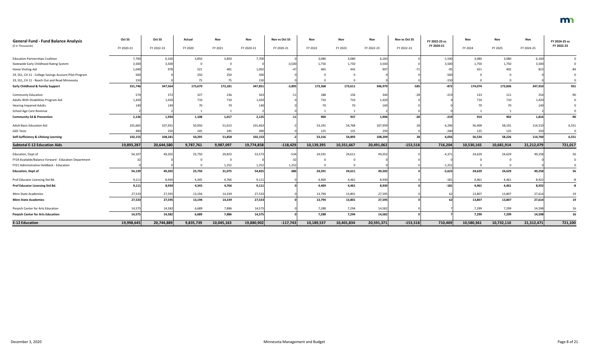| <b>General Fund - Fund Balance Analysis</b>            | Oct SS     | Oct SS     | Actual    | Nov        | Nov        | Nov vs Oct SS | Nov        | Nov        | Nov        | Nov vs Oct SS | FY 2022-23 vs | Nov        | Nov        | Nov        | FY 2024-25 vs |
|--------------------------------------------------------|------------|------------|-----------|------------|------------|---------------|------------|------------|------------|---------------|---------------|------------|------------|------------|---------------|
| (\$ in Thousands)                                      | FY 2020-21 | FY 2022-23 | FY 2020   | FY 2021    | FY 2020-21 | FY 2020-21    | FY 2022    | FY 2023    | FY 2022-23 | FY 2022-23    | FY 2020-21    | FY 2024    | FY 2025    | FY 2024-25 | FY 2022-23    |
| <b>Education Partnerships Coalition</b>                | 7,700      | 6,160      | 3,850     | 3,850      | 7,700      |               | 3,080      | 3,080      | 6,160      |               | $-1,540$      | 3,080      | 3,080      | 6,160      |               |
| Statewide Early Childhood Rating System                | 3,500      | 3,500      | $\Omega$  |            |            | $-3,500$      | 1,750      | 1,750      | 3,500      |               | 3,500         | 1,750      | 1,750      | 3,500      |               |
| Home Visiting Aid                                      | 1,049      | 978        | 521       | 481        | 1,002      |               | 465        | 442        | 90         |               |               | 421        | 402        | 823        |               |
| 19, SS1, CH 11 - College Savings Account Pilot Program | 500        |            | 250       | 250        | 500        |               |            |            |            |               | $-500$        |            |            |            |               |
| 19, SS1, CH 11 - Reach Out and Read Minnesota          |            |            | 75        | 75         | 150        |               |            |            |            |               | $-150$        |            |            |            |               |
| <b>Early Childhood &amp; Family Support</b>            | 351,746    | 347,564    | 175,670   | 172,181    | 347,851    | $-3,895$      | 173,368    | 173,611    | 346,979    | $-585$        | $-872$        | 174,074    | 173,836    | 347,910    | 931           |
| <b>Community Education</b>                             | 574        | 372        | 327       | 236        | 563        |               | 188        | 156        | 344        |               | $-219$        | 133        | 121        | 254        | $-90$         |
| Adults With Disabilities Program Aid                   | 1,420      | 1,420      | 710       | 710        | 1,420      |               | 710        | 710        | 1,420      |               |               | 710        | 710        | 1,420      |               |
| <b>Hearing Impaired Adults</b>                         |            |            | 70        | 70         | 140        |               | 70         | 70         | 140        |               |               | 70         | 70         | 140        |               |
| School Age Care Revenue                                |            |            |           |            |            |               |            |            |            |               |               |            |            |            |               |
| <b>Community Ed &amp; Prevention</b>                   | 2,136      | 1,934      | 1,108     | 1,017      | 2,125      | $-11$         | 969        | 937        | 1,906      | $-28$         | $-219$        | 914        | 902        | 1,816      | $-90$         |
| <b>Adult Basic Education Aid</b>                       | 101,665    | 107,931    | 50,050    | 51,613     | 101,663    |               | 53,191     | 54,768     | 107,959    |               | 6,296         | 56,409     | 58,101     | 114,510    | 6,551         |
| <b>GED Tests</b>                                       |            | 250        | 245       | 245        | 490        |               | 125        | 125        | 250        |               | $-240$        | 125        | 125        | 250        |               |
| Self-Sufficiency & Lifelong Learning                   | 102,155    | 108,181    | 50,295    | 51,858     | 102,153    |               | 53,316     | 54,893     | 108,209    |               | 6,056         | 56,534     | 58,226     | 114,760    | 6,551         |
| <b>Subtotal E-12 Education Aids</b>                    | 19,893,287 | 20,644,580 | 9,787,761 | 9,987,097  | 19,774,858 | $-118,429$    | 10,139,395 | 10,351,667 | 20,491,062 | $-153,518$    | 716,204       | 10,530,165 | 10,681,914 | 21,212,079 | 721,017       |
| Education, Dept of                                     | 54,107     | 49,202     | 23,750    | 29,823     | 53,573     | $-534$        | 24,591     | 24,611     | 49,20      |               | $-4,371$      | 24,629     | 24,629     | 49,258     | 56            |
| FY19 Available/Balance Forward - Education Department  |            |            |           | $\Omega$   |            |               |            |            |            |               |               |            |            |            |               |
| FY21 Administrative Holdback - Education               |            |            |           | 1,252      | 1,252      | 1,252         |            |            |            |               | $-1,252$      |            |            |            |               |
| <b>Education, Dept of</b>                              | 54,139     | 49,202     | 23,750    | 31,075     | 54,825     | 686           | 24,591     | 24,611     | 49,202     |               | $-5,623$      | 24,629     | 24,629     | 49,258     | 56            |
| Prof Educator Licensing Std Bd.                        | 9,111      | 8,930      | 4,345     | 4,766      | 9,111      |               | 4,469      | 4,461      | 8,930      |               | $-181$        | 4,461      | 4,461      | 8,922      | -8            |
| Prof Educator Licensing Std Bd.                        | 9,111      | 8,930      | 4,345     | 4,766      | 9,111      |               | 4,469      | 4,461      | 8,930      |               | $-181$        | 4,461      | 4,461      | 8,922      | -8            |
| Minn State Academies                                   | 27,533     | 27,595     | 13,194    | 14,339     | 27,533     |               | 13,794     | 13,801     | 27,595     |               | 62            | 13,807     | 13,807     | 27,614     | 19            |
| <b>Minn State Academies</b>                            | 27,533     | 27,595     | 13,194    | 14,339     | 27,533     |               | 13,794     | 13,801     | 27,595     |               | 62            | 13,807     | 13,807     | 27,614     | 19            |
| Perpich Center for Arts Education                      | 14,575     | 14,582     | 6,689     | 7,886      | 14,575     |               | 7,288      | 7,294      | 14,582     |               |               | 7,299      | 7,299      | 14,598     | $16\,$        |
| <b>Perpich Center for Arts Education</b>               | 14,575     | 14,582     | 6,689     | 7,886      | 14,575     |               | 7,288      | 7,294      | 14,582     |               |               | 7,299      | 7,299      | 14,598     | 16            |
| <b>E-12 Education</b>                                  | 19,998,645 | 20,744,889 | 9,835,739 | 10,045,163 | 19,880,902 | $-117,743$    | 10,189,537 | 10,401,834 | 20,591,371 | $-153,518$    | 710,469       | 10,580,361 | 10,732,110 | 21,312,471 | 721,100       |

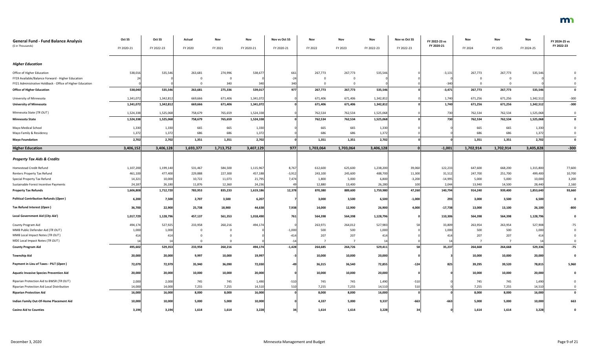| <b>General Fund - Fund Balance Analysis</b><br>(\$ in Thousands) | Oct SS     | Oct SS     | Actual    | Nov       | Nov        | Nov vs Oct SS | Nov       | Nov       | Nov        | Nov vs Oct SS | FY 2022-23 vs<br>FY 2020-21 | Nov       | Nov       | Nov        | FY 2024-25 vs<br>FY 2022-23 |
|------------------------------------------------------------------|------------|------------|-----------|-----------|------------|---------------|-----------|-----------|------------|---------------|-----------------------------|-----------|-----------|------------|-----------------------------|
|                                                                  | FY 2020-21 | FY 2022-23 | FY 2020   | FY 2021   | FY 2020-21 | FY 2020-21    | FY 2022   | FY 2023   | FY 2022-23 | FY 2022-23    |                             | FY 2024   | FY 2025   | FY 2024-25 |                             |
| <b>Higher Education</b>                                          |            |            |           |           |            |               |           |           |            |               |                             |           |           |            |                             |
| Office of Higher Education                                       | 538,016    | 535,546    | 263,681   | 274,996   | 538,677    | 661           | 267,773   | 267,773   | 535,546    |               | $-3,131$                    | 267,773   | 267,773   | 535,546    |                             |
| FY19 Available/Balance Forward - Higher Education                |            |            | 0         |           |            | $-24$         | $\Omega$  |           |            |               |                             |           |           |            |                             |
| FY21 Administrative Holdback - Office of Higher Education        |            |            | $\Omega$  | 340       |            | 340           |           |           |            |               | $-340$                      |           |           |            |                             |
| <b>Office of Higher Education</b>                                | 538,040    | 535,546    | 263,681   | 275,336   | 539,017    | 977           | 267,773   | 267,773   | 535,546    |               | $-3,471$                    | 267,773   | 267,773   | 535,546    | $\mathbf 0$                 |
| University of Minnesota                                          | 1,341,072  | 1,342,812  | 669,666   | 671,406   | 1,341,072  |               | 671,406   | 671,406   | 1,342,812  |               | 1,740                       | 671,256   | 671,256   | 1,342,51   | $-300$                      |
| <b>University of Minnesota</b>                                   | 1,341,072  | 1,342,812  | 669,666   | 671,406   | 1,341,072  |               | 671,406   | 671,406   | 1,342,812  |               | 1,740                       | 671,256   | 671,256   | 1,342,512  | $-300$                      |
| Minnesota State (TR OUT)                                         | 1,524,338  | 1,525,068  | 758,679   | 765,659   | 1,524,338  |               | 762,534   | 762,534   | 1,525,068  |               | 730                         | 762,534   | 762,534   | 1,525,068  | $\mathbf 0$                 |
| <b>Minnesota State</b>                                           | 1,524,338  | 1,525,068  | 758,679   | 765,659   | 1,524,338  |               | 762,534   | 762,534   | 1,525,068  |               | 730                         | 762,534   | 762,534   | 1,525,068  | $\mathbf 0$                 |
| Mayo Medical School                                              | 1,330      | 1,330      | 665       | 665       | 1,330      |               | 665       | 665       | 1,330      |               |                             | 665       | 665       | 1,330      |                             |
| Mayo Family & Residency                                          | 1,372      | 1,372      | 686       | 686       | 1,372      |               | 686       | 686       | 1,372      |               |                             | 686       | 686       | 1,372      |                             |
| <b>Mayo Foundation</b>                                           | 2,702      | 2,702      | 1,351     | 1,351     | 2,702      |               | 1,351     | 1,351     | 2,702      |               |                             | 1,351     | 1,351     | 2,702      | $\mathbf 0$                 |
| <b>Higher Education</b>                                          | 3,406,152  | 3,406,128  | 1,693,377 | 1,713,752 | 3,407,129  | 977           | 1,703,064 | 1,703,064 | 3,406,128  |               | $-1,001$                    | 1,702,914 | 1,702,914 | 3,405,828  | $-300$                      |
| <b>Property Tax Aids &amp; Credits</b>                           |            |            |           |           |            |               |           |           |            |               |                             |           |           |            |                             |
| Homestead Credit Refund                                          | 1,107,200  | 1,199,140  | 531,467   | 584,500   | 1,115,967  | 8,767         | 612,600   | 625,600   | 1,238,200  | 39,060        | 122,233                     | 647,600   | 668,200   | 1,315,800  | 77,600                      |
| Renters Property Tax Refund                                      | 461,100    | 477,400    | 229,888   | 227,300   | 457,188    | $-3,912$      | 243,100   | 245,600   | 488,700    | 11,300        | 31,512                      | 247,700   | 251,700   | 499,400    | 10,700                      |
| Special Property Tax Refund                                      | 14,321     | 10,000     | 10,722    | 11,073    | 21,795     | 7,474         | 1,800     | 5,000     | 6,800      | $-3,200$      | $-14,995$                   | 5,000     | 5,000     | 10,00      | 3,200                       |
| Sustainable Forest Incentive Payments                            | 24,18      | 26,180     | 11,876    | 12,360    | 24,236     |               | 12,880    | 13,400    | 26,280     | 100           | 2,044                       | 13,940    | 14,500    | 28,440     | 2,160                       |
| <b>Property Tax Refunds</b>                                      | 1,606,808  | 1,712,720  | 783,953   | 835,233   | 1,619,186  | 12,378        | 870,380   | 889,600   | 1,759,980  | 47,260        | 140,794                     | 914,240   | 939,400   | 1,853,640  | 93,660                      |
| <b>Political Contribution Refunds (Open)</b>                     | 6,200      | 7,500      | 2,707     | 3,500     | 6,207      |               | 3,000     | 3,500     | 6,500      | $-1,000$      | 293                         | 3,000     | 3,500     | 6,500      | $\mathbf 0$                 |
| Tax Refund Interest (Open)                                       | 36,700     | 22,900     | 25,738    | 18,900    | 44,638     | 7,938         | 14,000    | 12,900    | 26,900     | 4,000         | $-17,738$                   | 13,000    | 13,100    | 26,100     | -800                        |
| Local Government Aid (City Aid)                                  | 1,017,729  | 1,128,796  | 457,137   | 561,353   | 1,018,490  | 761           | 564,398   | 564,398   | 1,128,796  |               | 110,306                     | 564,398   | 564,398   | 1,128,796  |                             |
| County Program Aid                                               | 494,174    | 527,925    | 233,958   | 260,216   | 494,174    |               | 263,971   | 264,012   | 527,983    |               | 33,809                      | 263,954   | 263,954   | 527,908    | -75                         |
| MMB Public Defender Aid (TR OUT)                                 | 1,000      | 1,000      | $\Omega$  |           |            | $-1,000$      | 500       | 500       | 1,000      |               | 1,000                       | 500       | 500       | 1,000      |                             |
| MMB Local Impact Notes (TR OUT)                                  | 414        | 414        |           |           |            | $-414$        | 207       | 207       | 414        |               | 414                         | 207       | 207       | 414        |                             |
| MDE Local Impact Notes (TR OUT)                                  |            |            | $\Omega$  |           |            | $-1$          |           |           |            |               | 14                          |           |           |            |                             |
| <b>County Program Aid</b>                                        | 495,602    | 529,353    | 233,958   | 260,216   | 494,174    | $-1,428$      | 264,685   | 264,726   | 529,411    |               | 35,237                      | 264,668   | 264,668   | 529,336    | $-75$                       |
| <b>Township Aid</b>                                              | 20,000     | 20,000     | 9,997     | 10,000    | 19,997     |               | 10,000    | 10,000    | 20,000     |               |                             | 10,000    | 10,000    | 20,000     | $\mathbf 0$                 |
| Payment in Lieu of Taxes - PILT (Open)                           | 72,079     | 72,979     | 35,940    | 36,090    | 72,030     |               | 36,315    | 36,540    | 72,855     | $-124$        | 825                         | 39,295    | 39,520    | 78,815     | 5,960                       |
| <b>Aquatic Invasive Species Prevention Aid</b>                   | 20,000     | 20,000     | 10,000    | 10,000    | 20,000     |               | 10,000    | 10,000    | 20,000     |               |                             | 10,000    | 10,000    | 20,000     |                             |
| Riparian Protection Aid to BWSR (TR OUT)                         | 2,000      | 2,000      | 745       | 745       | 1,490      | $-510$        | 745       | 745       | 1,490      | $-510$        |                             | 745       | 745       | 1,490      |                             |
| Riparian Protection Aid Local Distribution                       | 14,000     | 14,000     | 7,255     | 7,255     | 14,510     | 510           | 7,255     | 7,255     | 14,510     | 51            |                             | 7,255     | 7,255     | 14,510     |                             |
| <b>Riparian Protection Aid</b>                                   | 16,000     | 16,000     | 8,000     | 8,000     | 16,000     |               | 8,000     | 8,000     | 16,000     |               |                             | 8,000     | 8,000     | 16,000     | $\mathbf 0$                 |
| Indian Family Out-Of-Home Placement Aid                          | 10,000     | 10,000     | 5,000     | 5,000     | 10,000     |               | 4,337     | 5,000     | 9,337      | $-663$        | $-663$                      | 5,000     | 5,000     | 10,000     | 663                         |
| <b>Casino Aid to Counties</b>                                    | 3,194      | 3,194      | 1,614     | 1,614     | 3,228      |               | 1,614     | 1,614     | 3,228      |               |                             | 1,614     | 1,614     | 3,228      |                             |

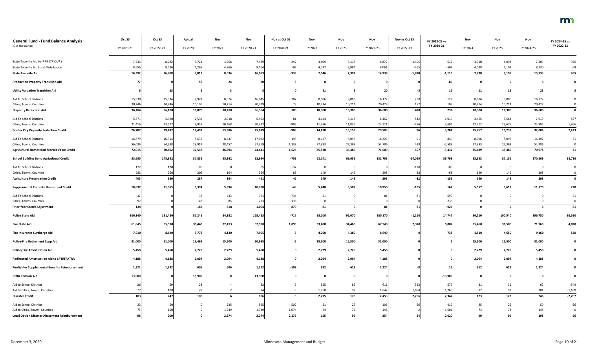| <b>General Fund - Fund Balance Analysis</b><br>(\$ in Thousands) | Oct SS<br>FY 2020-21 | Oct SS<br>FY 2022-23 | Actual<br>FY 2020 | Nov<br>FY 2021 | Nov<br>FY 2020-21 | Nov vs Oct SS<br>FY 2020-21 | Nov<br>FY 2022 | Nov<br>FY 2023 | Nov<br>FY 2022-23 | Nov vs Oct SS<br>FY 2022-23 | FY 2022-23 vs<br>FY 2020-21 | Nov<br>FY 2024 | Nov<br>FY 2025 | Nov<br>FY 2024-25 | FY 2024-25 vs<br>FY 2022-23 |
|------------------------------------------------------------------|----------------------|----------------------|-------------------|----------------|-------------------|-----------------------------|----------------|----------------|-------------------|-----------------------------|-----------------------------|----------------|----------------|-------------------|-----------------------------|
| State Taconite Aid to IRRR (TR OUT)                              | 7,736                | 8,282                | 3,721             | 3,768          | 7,489             | $-247$                      | 3,469          | 3,408          | 6,877             | $-1,405$                    | $-612$                      | 3,710          | 4,093          | 7,80              | 926                         |
| State Taconite Aid Local Distribution                            | 8,656                | 8,526                | 4,298             | 4,266          | 8,564             |                             | 4,077          | 3,984          | 8,061             | $-465$                      | $-503$                      | 4,028          | 4,102          | 8,130             | 69                          |
| <b>State Taconite Aid</b>                                        | 16,392               | 16,808               | 8,019             | 8,034          | 16,053            | $-339$                      | 7,546          | 7,392          | 14,938            | $-1,870$                    | $-1,115$                    | 7,738          | 8,195          | 15,933            | 995                         |
| <b>Production Property Transition Aid</b>                        | 77                   |                      | 56                | 24             |                   |                             |                |                |                   |                             |                             |                |                |                   |                             |
| <b>Utility Valuation Transition Aid</b>                          |                      | 23                   | - 5               |                |                   |                             | 11             |                |                   |                             | 12                          | 11             | 12             | -23               |                             |
| Aid To School Districts                                          | 15,938               | 15,934               | 7,971             | 8,074          | 16,045            | $10^{\circ}$                | 8,086          | 8,086          | 16,172            | 238                         | 127                         | 8,086          | 8,086          | 16,172            |                             |
| Cities, Towns, Counties                                          | 20,246               | 20,246               | 10,105            | 10,214         | 20,319            |                             | 10,214         | 10,214         | 20,428            | 182                         | 109                         | 10,214         | 10,214         | 20,428            | $\mathbf 0$                 |
| <b>Disparity Reduction Aid</b>                                   | 36,184               | 36,180               | 18,076            | 18,288         | 36,364            | <b>180</b>                  | 18,300         | 18,300         | 36,600            | 420                         | 236                         | 18,300         | 18,300         | 36,600            | $\mathbf 0$                 |
| Aid To School Districts                                          | 5,371                | 5,920                | 2,534             | 2,918          | 5,452             |                             | 3,144          | 3,318          | 6,462             | 542                         | 1,010                       | 3,455          | 3,564          | 7,019             | 557                         |
| Cities, Towns, Counties                                          | 21,416               | 23,577               | 9,959             | 10,468         | 20,427            | -989                        | 11,286         | 11,835         | 23,121            | $-456$                      | 2,694                       | 12,312         | 12,675         | 24,98             | 1,866                       |
| <b>Border City Disparity Reduction Credit</b>                    | 26,787               | 29,497               | 12,493            | 13,386         | 25,879            | $-908$                      | 14,430         | 15,153         | 29,583            | 86                          | 3,704                       | 15,767         | 16,239         | 32,006            | 2,423                       |
| Aid To School Districts                                          | 16,879               | 16,314               | 8,635             | 8,437          | 17,072            | 193                         | 8,127          | 8,096          | 16,223            | $-91$                       | $-849$                      | 8,096          | 8,096          | 16,19             | $-31$                       |
| Cities, Towns, Counties                                          | 56,036               | 54,288               | 28,912            | 28,457         | 57,369            | 1,333                       | 27,393         | 27,393         | 54,786            | 498                         | $-2,583$                    | 27,393         | 27,393         | 54,786            | $\mathbf 0$                 |
| <b>Agricultural Homestead Market Value Credit</b>                | 72,915               | 70,602               | 37,547            | 36,894         | 74,441            | 1,526                       | 35,520         | 35,489         | 71,009            | 407                         | $-3,432$                    | 35,489         | 35,489         | 70,978            | $-31$                       |
| <b>School Building Bond Agricultural Credit</b>                  | 93,695               | 145,892              | 37,852            | 55,142         | 92,994            | $-701$                      | 62,141         | 69,652         | 131,793           | $-14,099$                   | 38,799                      | 83,353         | 87,156         | 170,509           | 38,716                      |
| Aid To School Districts                                          | 122                  | 120                  | 85                |                |                   |                             |                |                |                   | $-120$                      | -85                         | റ              | $\Omega$       |                   |                             |
| Cities, Towns, Counties                                          | 283                  | 260                  | 202               | 164            | 366               |                             | 149            | 149            | 298               |                             | -68                         | 149            | 149            | 298               |                             |
| <b>Agriculture Preservation Credit</b>                           | 405                  | 380                  | 287               | 164            | 451               |                             | 149            | 149            | 298               | $-82$                       | $-153$                      | 149            | 149            | 298               | $\mathbf 0$                 |
| <b>Supplemental Taconite Homestead Credit</b>                    | 10,837               | 11,055               | 5,394             | 5,394          | 10,788            |                             | 5,448          | 5,502          | 10,950            | $-105$                      | 162                         | 5,557          | 5,613          | 11,170            | 220                         |
| Aid To School Districts                                          |                      |                      | 38                | 733            | 771               | 734                         | 81             |                |                   |                             | $-690$                      |                |                |                   | $-81$                       |
| Cities, Towns, Counties                                          |                      |                      | 148               | 85             | 233               | 136                         |                |                |                   |                             | $-233$                      |                |                |                   |                             |
| <b>Prior Year Credit Adjustment</b>                              | 134                  |                      | 186               | 818            | 1,004             | 870                         | 81             |                |                   | 81                          | $-923$                      |                |                |                   | $-81$                       |
| <b>Police State Aid</b>                                          | 166,140              | 181,430              | 81,241            | 84,182         | 165,423           | $-717$                      | 88,100         | 92,070         | 180,170           | $-1,260$                    | 14,747                      | 96,210         | 100,540        | 196,750           | 16,580                      |
| <b>Fire State Aid</b>                                            | 61,845               | 65,570               | 30,445            | 32,493         | 62,938            | 1,093                       | 33,480         | 34,460         | 67,940            | 2,370                       | 5,002                       | 35,460         | 36,500         | 71,960            | 4,020                       |
| Fire Insurance Surcharge Aid                                     | 7,910                | 8,640                | 3,775             | 4,130          | 7,905             |                             | 4,260          | 4,380          | 8,640             |                             | 735                         | 4,510          | 4,650          | 9,160             | 520                         |
| <b>Police-Fire Retirement Supp Aid</b>                           | 31,000               | 31,000               | 15,495            | 15,500         | 30,995            |                             | 15,500         | 15,500         | 31,000            |                             |                             | 15,500         | 15,500         | 31,000            | $\mathbf 0$                 |
| <b>Police/Fire Amortization Aid</b>                              | 5,458                | 5,458                | 2,729             | 2,729          | 5,458             |                             | 2,729          | 2,729          | 5,458             |                             |                             | 2,729          | 2,729          | 5,458             |                             |
| Redirected Amortization Aid to SPTRFA/TRA                        | 4,188                | 4,188                | 2,094             | 2,094          | 4,188             |                             | 2,094          | 2,094          | 4,188             |                             |                             | 2,094          | 2,094          | 4,188             |                             |
| Firefighter Supplemental Benefits Reimbursement                  | 1,321                | 1,232                | 606               | 606            | 1,212             | $-109$                      | 612            | 612            | 1,224             |                             | 12                          | 612            | 612            | 1,224             |                             |
| <b>PERA Pension Aid</b>                                          | 13,900               |                      | 13,900            |                | 13,900            |                             |                | - റ            |                   |                             | $-13,900$                   | . വ            | $\Omega$       |                   |                             |
| Aid to School Districts                                          |                      |                      | 28                |                |                   |                             | 525            | 86             | 611               | 552                         | 579                         | 31             | 31             |                   | $-549$                      |
| Aid to Cities, Towns, Counties                                   |                      | 188                  | 72                |                | 74                |                             | 1,750          | 92             | 1,842             | 1,654                       | 1,768                       | 92             | 92             | 184               | $-1,658$                    |
| <b>Disaster Credit</b>                                           | 103                  | 247                  | 100               |                | 106               |                             | 2,275          | 178            | 2,453             | 2,206                       | 2,347                       | 123            | 123            | 246               | $-2,207$                    |
| Aid to School Districts                                          |                      | 50                   | $\Omega$          | 525            | 525               | 502                         | 81             | 25             | 106               |                             | $-419$                      | 25             | 25             | 50                | $-56$                       |
| Aid to Cities, Towns, Counties                                   |                      | 150                  | $\Omega$          | 1,749          | 1,749             | 1,674                       | 74             | 74             | 148               |                             | $-1,601$                    | 74             | 74             | 148               | $\mathbf 0$                 |
| <b>Local Option Disaster Abatement Reimbursement</b>             | 98                   | 200                  | $\Omega$          | 2,274          | 2,274             | 2,176                       | 155            | 99             | 254               | 54                          | $-2,020$                    | 99             | 99             | 198               | $-56$                       |

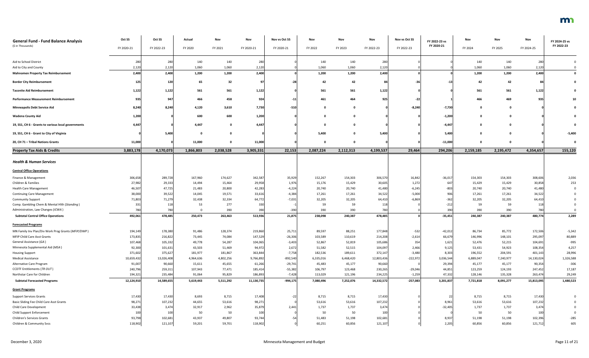| <b>General Fund - Fund Balance Analysis</b><br>(\$ in Thousands) | Oct SS     | Oct SS     | Actual    | Nov       | Nov             | Nov vs Oct SS | Nov       | Nov       | Nov        | Nov vs Oct SS | FY 2022-23 vs<br>FY 2020-21 | Nov       | Nov       | Nov        | FY 2024-25 vs<br>FY 2022-23 |
|------------------------------------------------------------------|------------|------------|-----------|-----------|-----------------|---------------|-----------|-----------|------------|---------------|-----------------------------|-----------|-----------|------------|-----------------------------|
|                                                                  | FY 2020-21 | FY 2022-23 | FY 2020   | FY 2021   | FY 2020-21      | FY 2020-21    | FY 2022   | FY 2023   | FY 2022-23 | FY 2022-23    |                             | FY 2024   | FY 2025   | FY 2024-25 |                             |
| Aid to School District                                           | 280        | 280        | 140       | 140       | 280             |               | 140       | 140       |            |               |                             | 140       | 140       |            |                             |
| Aid to City and County                                           | 2,120      | 2,120      | 1,060     | 1,060     | 2,120           |               | 1,060     | 1,060     | 2,120      |               |                             | 1,060     | 1,060     | 2,120      |                             |
| <b>Mahnomen Property Tax Reimbursement</b>                       | 2,400      | 2,400      | 1,200     | 1,200     | 2,400           |               | 1,200     | 1,200     | 2,400      |               |                             | 1,200     | 1,200     | 2,400      | $\mathbf 0$                 |
| <b>Border City Reimbursement</b>                                 | 125        | 120        | 65        | 32        | 97              |               | 42        | 42        |            | -31           | -13                         | 42        | 42        | -84        |                             |
| <b>Taconite Aid Reimbursement</b>                                | 1,122      | 1,122      | 561       | 561       | 1,122           |               | 561       | 561       | 1,122      |               |                             | 561       | 561       | 1,122      |                             |
| <b>Performance Measurement Reimbursement</b>                     | 935        | 947        | 466       | 458       | 924             |               | 461       | 464       | 925        |               |                             | 466       | 469       | 935        |                             |
| <b>Minneapolis Debt Service Aid</b>                              | 8,240      | 8,240      | 4,120     | 3,610     | 7,730           | $-510$        |           |           |            | $-8,240$      | $-7,730$                    |           |           |            |                             |
| <b>Wadena County Aid</b>                                         | 1,200      |            | 600       | 600       | 1,200           |               |           |           |            |               | $-1,200$                    |           |           |            |                             |
| 19, SS1, CH 6 - Grants to various local governments              | 4,447      |            | 4,447     |           | 4,447           |               |           |           |            |               | $-4,447$                    |           |           |            |                             |
| 19, SS1, CH 6 - Grant to City of Virginia                        |            | 5,400      |           |           |                 |               | 5,400     |           | 5,400      |               | 5,400                       |           |           |            | $-5,400$                    |
| 20, CH 71 - Tribal Nations Grants                                | 11,000     |            | 11,000    |           | 11,000          |               |           |           |            |               | $-11,000$                   |           |           |            |                             |
| <b>Property Tax Aids &amp; Credits</b>                           | 3,883,178  | 4,170,073  | 1,866,803 | 2,038,528 | 3,905,331       | 22,153        | 2,087,224 | 2,112,313 | 4,199,537  | 29,464        | 294,206                     | 2,159,185 | 2,195,472 | 4,354,657  | 155,120                     |
|                                                                  |            |            |           |           |                 |               |           |           |            |               |                             |           |           |            |                             |
| <b>Health &amp; Human Services</b>                               |            |            |           |           |                 |               |           |           |            |               |                             |           |           |            |                             |
| <b>Central Office Operations</b>                                 |            |            |           |           |                 |               |           |           |            |               |                             |           |           |            |                             |
| Finance & Management                                             | 306,658    | 289,728    | 167,960   | 174,627   | 342,587         | 35,929        | 152,267   | 154,303   | 306,570    | 16,842        | $-36,017$                   | 154,303   | 154,303   | 308,606    | 2,036                       |
| Children & Families                                              | 27,982     | 29,333     | 14,494    | 15,464    | 29,958          | 1,976         | 15,176    | 15,429    | 30,605     | 1,272         | 647                         | 15,429    | 15,429    | 30,85      | 253                         |
| <b>Health Care Management</b>                                    | 46,507     | 47,725     | 21,483    | 20,800    | 42,283          | $-4,224$      | 20,740    | 20,740    | 41,480     | $-6,245$      | $-803$                      | 20,740    | 20,740    | 41,480     |                             |
| <b>Continuing Care Management</b>                                | 38,000     | 39,522     | 14,045    | 19,571    | 33,616          | $-4,384$      | 17,261    | 17,261    | 34,522     | $-5,000$      | 906                         | 17,261    | 17,261    | 34,52      |                             |
| <b>Community Support</b>                                         | 71,803     | 71,279     | 32,438    | 32,334    | 64,772          | $-7,031$      | 32,205    | 32,205    | 64,410     | $-6,869$      | $-362$                      | 32,205    | 32,205    | 64,41      |                             |
| Comp. Gambling Chem & Mental Hlth (Standing)                     | 331        | 118        | 53        | 277       | 330             |               | 59        | 59        | 118        |               | $-212$                      | 59        | 59        | 118        |                             |
| Administration, Law Changes (ICWA)                               | 780        | 780        |           | 390       | 390             | $-390$        | 390       | 390       | 780        |               | 390                         | 390       | 390       | 780        | $\Omega$                    |
| <b>Subtotal Central Office Operations</b>                        | 492,061    | 478,485    | 250,473   | 263,463   | 513,936         | 21,875        | 238,098   | 240,387   | 478,485    |               | $-35,451$                   | 240,387   | 240,387   | 480,774    | 2,289                       |
| <b>Forecasted Programs</b>                                       |            |            |           |           |                 |               |           |           |            |               |                             |           |           |            |                             |
| MN Family Inv Plan/Div Work Prog Grants (MFIP/DWP)               | 194,149    | 178,380    | 91,486    | 128,374   | 219,860         | 25,711        | 89,597    | 88,251    | 177,848    | $-532$        | $-42,012$                   | 86,734    | 85,772    | 172,506    | $-5,342$                    |
| MFIP Child Care Asst Grants                                      | 173,835    | 216,822    | 73,445    | 74,084    | 147,529         | $-26,306$     | 103,589   | 110,619   | 214,208    | $-2,614$      | 66,679                      | 146,996   | 148,101   | 295,09     | 80,889                      |
| General Assistance (GA)                                          | 107,468    | 105,332    | 49,778    | 54,287    | 104,065         | $-3,403$      | 52,867    | 52,819    | 105,686    | 354           | 1,621                       | 52,476    | 52,215    | 104,691    | $-995$                      |
| Minnesota Supplemental Aid (MSA)                                 | 92,300     | 101,631    | 43,503    | 51,469    | 94,972          | 2,672         | 51,582    | 52,515    | 104,097    | 2,466         | 9,125                       | 53,431    | 54,923    | 108,354    | 4,257                       |
| <b>Housing Support</b>                                           | 371,602    | 375,627    | 181,977   | 181,867   | 363,844         | $-7,758$      | 182,536   | 189,611   | 372,147    | $-3,480$      | 8,303                       | 196,552   | 204,591   | 401,14     | 28,996                      |
| <b>Medical Assistance</b>                                        | 10,659,432 | 13,026,408 | 4,964,636 | 4,802,256 | 9,766,892       | $-892,540$    | 6,335,016 | 6,468,420 | 12,803,436 | $-222,972$    | 3,036,544                   | 6,889,047 | 7,240,977 | 14,130,024 | 1,326,588                   |
| Alternative Care Program                                         | 91,007     | 90,660     | 15,611    | 45,655    | 61,266          | $-29,741$     | 45,483    | 45,177    | 90,660     |               | 29,394                      | 45,177    | 45,177    | 90,354     | $-306$                      |
| <b>CCDTF Entitlements (TR OUT)</b>                               | 240,796    | 259,311    | 107,943   | 77,471    | 185,414         | $-55,382$     | 106,797   | 123,468   | 230,265    | $-29,046$     | 44,851                      | 123,259   | 124,193   | 247,452    | 17,187                      |
| Northstar Care for Children                                      | 194,321    | 235,484    | 91,064    | 95,829    | 186,893         | $-7,428$      | 113,029   | 121,196   | 234,225    | $-1,259$      | 47,332                      | 128,146   | 135,328   | 263,474    | 29,249                      |
| <b>Subtotal Forecasted Programs</b>                              | 12,124,910 | 14,589,655 | 5,619,443 | 5,511,292 | 11,130,735      | $-994,175$    | 7,080,496 | 7,252,076 | 14,332,572 | $-257,083$    | 3,201,837                   | 7,721,818 | 8,091,277 | 15,813,095 | 1,480,523                   |
| <b>Grant Programs</b>                                            |            |            |           |           |                 |               |           |           |            |               |                             |           |           |            |                             |
| <b>Support Services Grants</b>                                   | 17,430     | 17,430     | 8,693     | 8,715     | 17,408          | $-22$         | 8,715     | 8,715     | 17,430     |               | 22                          | 8,715     | 8,715     | 17,430     |                             |
| Basic Sliding Fee Child Care Asst Grants                         | 98,271     | 107,232    | 44,655    | 53,616    | 98,271          |               | 53,616    | 53,616    | 107,232    |               | 8,961                       | 53,616    | 53,616    | 107,232    |                             |
| Child Care Development                                           | 33,438     | 3,474      | 32,917    | 2,962     | 35,879          | 2,441         | 1,737     | 1,737     | 3,474      |               | $-32,405$                   | 1,737     | 1,737     | 3,474      |                             |
| <b>Child Support Enforcement</b>                                 | 100        | 100        | 50        | 50        | 10 <sub>C</sub> |               | 50        | 50        | 100        |               |                             | 50        | 50        | 100        |                             |
| <b>Children's Services Grants</b>                                | 93,798     | 102,681    | 43,937    | 49,807    | 93,744          |               | 51,483    | 51,198    | 102,681    |               | 8,937                       | 51,198    | 51,198    | 102,396    | $-285$                      |
| Children & Community Svcs                                        | 118,902    | 121,107    | 59,201    | 59,701    | 118,902         |               | 60,251    | 60,856    | 121,107    |               | 2,205                       | 60,856    | 60,856    | 121,712    | 605                         |

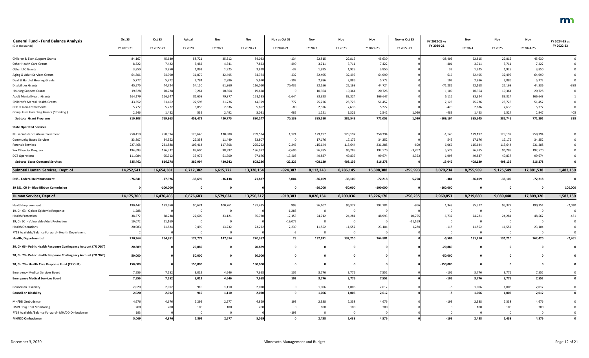| <b>General Fund - Fund Balance Analysis</b><br>(\$ in Thousands) | Oct SS<br>FY 2020-21 | Oct SS<br>FY 2022-23 | Actual<br>FY 2020  | Nov<br>FY 2021 | Nov<br>FY 2020-21 | Nov vs Oct SS<br>FY 2020-21 | Nov<br>FY 2022 | Nov<br>FY 2023 | Nov<br>FY 2022-23 | Nov vs Oct SS<br>FY 2022-23 | FY 2022-23 vs<br>FY 2020-21 | Nov<br>FY 2024     | Nov<br>FY 2025 | Nov<br>FY 2024-25 | FY 2024-25 vs<br>FY 2022-23 |
|------------------------------------------------------------------|----------------------|----------------------|--------------------|----------------|-------------------|-----------------------------|----------------|----------------|-------------------|-----------------------------|-----------------------------|--------------------|----------------|-------------------|-----------------------------|
| Children & Econ Support Grants                                   | 84,167               | 45,630               | 58,721             | 25,312         | 84,033            | $-134$                      | 22,815         | 22,815         | 45,630            |                             | $-38,403$                   | 22,815             | 22,815         | 45,630            |                             |
| Other Health Care Grants                                         | 8,322                | 7,422                | 3,482              | 4,341          | 7,823             | $-499$                      | 3,711          | 3,711          | 7,422             |                             | $-401$                      | 3,711              | 3,711          | 7,42              |                             |
| Other LTC Grants                                                 | 3,850                | 3,850                | 1,893              | 1,925          | 3,818             |                             | 1,925          | 1,925          | 3,850             |                             | 32                          | 1,925              | 1,925          | 3,850             |                             |
| Aging & Adult Services Grants                                    | 64,806               | 64,990               | 31,879             | 32,495         | 64,374            | $-432$                      | 32,495         | 32,495         | 64,990            |                             | 616                         | 32,495             | 32,495         | 64,990            |                             |
| Deaf & Hard of Hearing Grants                                    | 5,772                | 5,772                | 2,784              | 2,886          | 5,670             | $-102$                      | 2,886          | 2,886          | 5,772             |                             | 102                         | 2,886              | 2,886          | 5,77              |                             |
| <b>Disabilities Grants</b>                                       | 45,575               | 44,724               | 54,150             | 61,860         | 116,010           | 70,435                      | 22,556         | 22,168         | 44,724            |                             | $-71,286$                   | 22,168             | 22,168         | 44,33             | $-388$                      |
| <b>Housing Support Grants</b>                                    | 19,628               | 20,728               | 9,264              | 10,364         | 19,62             |                             | 10,364         | 10,364         | 20,728            |                             | 1,100                       | 10,364             | 10,364         | 20,72             |                             |
| <b>Adult Mental Health Grants</b>                                | 164,179              | 166,647              | 81,658             | 79,877         | 161,535           | $-2,644$                    | 83,323         | 83,324         | 166,647           |                             | 5,112                       | 83,324             | 83,324         | 166,648           |                             |
| Children's Mental Health Grants                                  | 43,552               | 51,452               | 22,593             | 21,736         | 44,329            | 77                          | 25,726         | 25,726         | 51,452            |                             | 7,123                       | 25,726             | 25,726         | 51,45             |                             |
| <b>CCDTF Non-Entitlements</b>                                    | 5,772                | 5,272                | 3,056              | 2,636          | 5,69              |                             | 2,636          | 2,636          | 5,272             |                             | $-420$                      | 2,636              | 2,636          | 5,27              |                             |
| <b>Compulsive Gambling Grants (Standing)</b>                     | 2,546                | 1,452                | 539                | 2,492          | 3,031             |                             | 1,221          | 1,321          | 2,542             | 1,090                       | -489                        | 1,423              | 1,524          | 2,94              | 405                         |
| <b>Subtotal Grant Programs</b>                                   | 810,108              | 769,963              | 459,472            | 420,775        | 880,247           | 70,139                      | 385,510        | 385,543        | 771,053           | 1,090                       | $-109,194$                  | 385,645            | 385,746        | 771,39            | 338                         |
| <b>State Operated Services</b>                                   |                      |                      |                    |                |                   |                             |                |                |                   |                             |                             |                    |                |                   |                             |
| MH & Substance Abuse Treatment                                   | 258,410              | 258,394              | 128,646            | 130,888        | 259,534           | 1,124                       | 129,197        | 129,197        | 258,394           |                             | $-1,140$                    | 129,197            | 129,197        | 258,394           |                             |
| <b>Community Based Services</b>                                  | 33,807               | 34,352               | 22,358             | 11,449         | 33,807            |                             | 17,176         | 17,176         | 34,352            |                             | 545                         | 17,176             | 17,176         | 34,35             |                             |
| <b>Forensic Services</b>                                         | 227,468              | 231,888              | 107,414            | 117,808        | 225,222           | $-2,246$                    | 115,644        | 115,644        | 231,288           | -600                        | 6,066                       | 115,644            | 115,644        | 231,288           |                             |
| Sex Offender Program                                             | 194,693              | 196,332              | 88,600             | 98,397         | 186,99            | $-7,696$                    | 96,285         | 96,285         | 192,570           | $-3,762$                    | 5,573                       | 96,285             | 96,285         | 192,570           |                             |
| <b>DCT Operations</b>                                            | 111,084              | 95,312               | 35,976             | 61,700         | 97,676            | $-13,408$                   | 49,837         | 49,837         | 99,674            | 4,362                       | 1,998                       | 49,837             | 49,837         | 99,67             |                             |
| <b>Subtotal State Operated Services</b>                          | 825,462              | 816,278              | 382,994            | 420,242        | 803,236           | $-22,226$                   | 408,139        | 408,139        | 816,278           |                             | 13,042                      | 408,139            | 408,139        | 816,278           | 0                           |
| Subtotal Human Services, Dept of                                 | 14,252,541           | 16,654,381           | 6,712,382          | 6,615,772      | 13,328,154        | $-924,387$                  | 8,112,243      | 8,286,145      | 16,398,388        | $-255,993$                  | 3,070,234                   | 8,755,989          | 9,125,549      | 17,881,538        | 1,483,150                   |
| <b>DHS - Federal Reimbursement</b>                               | $-76,841$            | $-77,976$            | $-35,699$          | $-36,138$      | $-71,837$         | 5,004                       | $-36,109$      | $-36,109$      | $-72,218$         | 5,758                       | $-381$                      | $-36,109$          | $-36,109$      | $-72,218$         |                             |
| 19 SS1, CH 9 - Blue Ribbon Commission                            |                      | $-100,000$           |                    |                |                   |                             | $-50,000$      | $-50,000$      | $-100,000$        |                             | $-100,000$                  |                    |                |                   | 100,000                     |
| <b>Human Services, Dept of</b>                                   | 14,175,700           | 16,476,405           | 6,676,683          | 6,579,634      | 13,256,317        | $-919,383$                  | 8,026,134      | 8,200,036      | 16,226,170        | $-250,235$                  | 2,969,853                   | 8,719,880          | 9,089,440      | 17,809,320        | 1,583,150                   |
|                                                                  |                      |                      |                    |                |                   |                             |                |                |                   |                             |                             |                    |                |                   |                             |
| Health Improvement                                               | 190,442              | 193,650              | 90,674             | 100,761        | 191,435           | 993                         | 96,407         | 96,377         | 192,784           | $-866$                      | 1,349                       | 95,377             | 95,377         | 190,754           | $-2,030$                    |
| 19, CH 63 - Opiate Epidemic Response<br><b>Health Protection</b> | 1,288                |                      |                    |                |                   | $-1,288$                    |                |                |                   | 10,755                      |                             |                    |                |                   |                             |
| 19, Ch 60 - Vulnerable Adult Protection                          | 38,577<br>19,072     | 38,238<br>11,169     | 22,609<br>$\Omega$ | 33,121<br>- 0  | 55,730            | 17,153<br>$-19,072$         | 24,712         | 24,281         | 48,993            | $-11,169$                   | $-6,737$                    | 24,281<br>$\Omega$ | 24,281<br>- 0  | 48,562            | -431                        |
| <b>Health Operations</b>                                         | 20,983               | 21,824               | 9,490              | 13,732         | 23,222            | 2,239                       | 11,552         | 11,552         | 23,104            | 1,280                       | $-118$                      | 11,552             | 11,552         | 23,104            |                             |
| FY19 Available/Balance Forward - Health Department               |                      |                      | $\Omega$           | 0              |                   |                             |                | - 0            |                   |                             |                             | $\Omega$           | $\Omega$       |                   |                             |
| <b>Health, Department of</b>                                     | 270,364              | 264,881              | 122,773            | 147,614        | 270,387           | 23                          | 132,671        | 132,210        | 264,881           |                             | $-5,506$                    | 131,210            | 131,210        | 262,420           | $-2,461$                    |
| 20, CH 66 - Public Health Response Contingency Account (TR OUT)  | 20,889               |                      | 20,889             | 0              | 20,889            |                             |                |                |                   |                             | $-20,889$                   |                    |                |                   |                             |
|                                                                  |                      |                      |                    |                |                   |                             |                |                |                   |                             |                             |                    |                |                   |                             |
| 20, CH 70 - Public Health Response Contingency Account (TR OUT)  | 50,000               |                      | 50,000             |                | 50,000            |                             |                |                |                   |                             | $-50,000$                   |                    |                |                   |                             |
| 20, CH 70 - Health Care Response Fund (TR OUT)                   | 150,000              |                      | 150,000            |                | 150,000           |                             |                |                |                   |                             | $-150,000$                  |                    |                |                   |                             |
| <b>Emergency Medical Services Board</b>                          | 7,556                | 7,552                | 3,012              | 4,646          | 7,658             | 102                         | 3,776          | 3,776          | 7,552             |                             | $-106$                      | 3,776              | 3,776          | 7,552             | 0                           |
| <b>Emergency Medical Services Board</b>                          | 7,556                | 7,552                | 3,012              | 4,646          | 7,658             | 102                         | 3,776          | 3,776          | 7,552             |                             | $-106$                      | 3,776              | 3,776          | 7,552             | $\mathbf 0$                 |
| Council on Disability                                            | 2,020                | 2,012                | 910                | 1,110          | 2,020             |                             | 1,006          | 1,006          | 2,012             |                             |                             | 1,006              | 1,006          | 2,012             | $\mathbf 0$                 |
| <b>Council on Disability</b>                                     | 2,020                | 2,012                | 910                | 1,110          | 2,020             |                             | 1,006          | 1,006          | 2,012             |                             |                             | 1,006              | 1,006          | 2,012             | $\mathbf 0$                 |
| MH/DD Ombudsman                                                  | 4,676                | 4,676                | 2,292              | 2,577          | 4,869             |                             | 2,338          | 2,338          | 4,676             |                             | $-193$                      | 2,338              | 2,338          | 4,676             |                             |
| <b>UMN Drug Trial Monitoring</b>                                 | 200                  | 200                  | 100                | 100            | 200               |                             | 100            | 100            |                   |                             |                             | 100                | 100            | 200               |                             |
| FY19 Available/Balance Forward - MH/DD Ombudsman                 | 193                  |                      |                    |                |                   |                             |                |                |                   |                             |                             |                    |                |                   |                             |
| MH/DD Ombudsman                                                  | 5,069                | 4,876                | 2,392              | 2,677          | 5,069             |                             | 2,438          | 2,438          | 4,876             |                             | $-193$                      | 2,438              | 2,438          | 4,876             |                             |

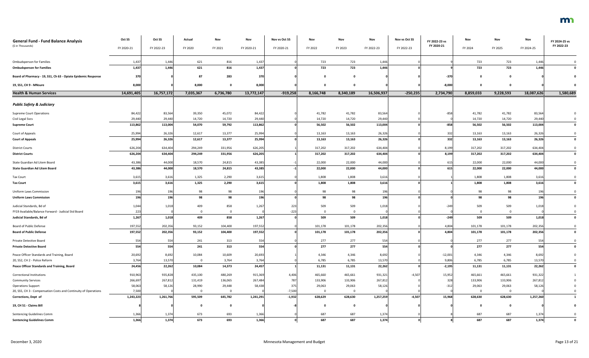| <b>General Fund - Fund Balance Analysis</b><br>(\$ in Thousands) | Oct SS<br>FY 2020-21 | Oct SS<br>FY 2022-23 | Actual<br>FY 2020 | Nov<br>FY 2021 | Nov<br>FY 2020-21 | Nov vs Oct SS<br>FY 2020-21 | Nov<br>FY 2022 | Nov<br>FY 2023 | Nov<br>FY 2022-23 | Nov vs Oct SS<br>FY 2022-23 | FY 2022-23 vs<br>FY 2020-21 | Nov<br>FY 2024 | Nov<br>FY 2025 | Nov<br>FY 2024-25 | FY 2024-25 vs<br>FY 2022-23 |
|------------------------------------------------------------------|----------------------|----------------------|-------------------|----------------|-------------------|-----------------------------|----------------|----------------|-------------------|-----------------------------|-----------------------------|----------------|----------------|-------------------|-----------------------------|
| <b>Ombudsperson for Families</b>                                 | 1,437                | 1,446                | 621               | 816            | 1,43              |                             | 723            | 723            | 1,446             |                             |                             | 723            | 723            | 1,446             |                             |
| <b>Ombudsperson for Families</b>                                 | 1,437                | 1,446                | 621               | 816            | 1,437             |                             | 723            | 723            | 1,446             |                             |                             | 723            | 723            | 1,446             |                             |
| Board of Pharmacy - 19, SS1, Ch 63 - Opiate Epidemic Response    | 370                  |                      | 87                | 283            | 370               |                             |                |                |                   |                             | $-370$                      |                |                |                   |                             |
| 19, SS1, CH 9 - MNsure                                           | 8,000                |                      | 8,000             |                | 8,000             |                             |                | - 0            |                   |                             | $-8,000$                    | . വ            |                |                   |                             |
| <b>Health &amp; Human Services</b>                               | 14,691,405           | 16,757,172           | 7,035,367         | 6,736,780      | 13,772,147        | $-919,258$                  | 8,166,748      | 8,340,189      | 16,506,937        | $-250,235$                  | 2,734,790                   | 8,859,033      | 9,228,593      | 18,087,626        | 1,580,689                   |
| <b>Public Safety &amp; Judiciary</b>                             |                      |                      |                   |                |                   |                             |                |                |                   |                             |                             |                |                |                   |                             |
| <b>Supreme Court Operations</b>                                  | 84,422               | 83,564               | 39,350            | 45,072         | 84,422            |                             | 41,782         | 41,782         | 83,564            |                             | $-858$                      | 41,782         | 41,782         | 83,564            |                             |
| Civil Legal Svcs                                                 | 29,440               | 29,440               | 14,720            | 14,720         | 29,440            |                             | 14,720         | 14,720         | 29,440            |                             |                             | 14,720         | 14,720         | 29,440            |                             |
| <b>Supreme Court</b>                                             | 113,862              | 113,004              | 54,070            | 59,792         | 113,862           |                             | 56,502         | 56,502         | 113,004           |                             | $-858$                      | 56,502         | 56,502         | 113,004           | $\mathbf{0}$                |
| Court of Appeals                                                 | 25,994               | 26,326               | 12,617            | 13,377         | 25,994            |                             | 13,163         | 13,163         | 26,326            |                             | 332                         | 13,163         | 13,163         | 26,326            |                             |
| <b>Court of Appeals</b>                                          | 25,994               | 26,326               | 12,617            | 13,377         | 25,994            |                             | 13,163         | 13,163         | 26,326            |                             | 332                         | 13,163         | 13,163         | 26,326            |                             |
|                                                                  |                      |                      |                   |                |                   |                             |                |                |                   |                             |                             |                |                |                   |                             |
| <b>District Courts</b>                                           | 626,204              | 634,404              | 294,249           | 331,956        | 626,205           |                             | 317,202        | 317,202        | 634,404           |                             | 8,199                       | 317,202        | 317,202        | 634,404           |                             |
| <b>District Courts</b>                                           | 626,204              | 634,404              | 294,249           | 331,956        | 626,205           |                             | 317,202        | 317,202        | 634,404           |                             | 8,199                       | 317,202        | 317,202        | 634,404           |                             |
| State Guardian Ad Litem Board                                    | 43,386               | 44,000               | 18,570            | 24,815         | 43,385            |                             | 22,000         | 22,000         | 44,000            |                             | 615                         | 22,000         | 22,000         | 44,000            |                             |
| <b>State Guardian Ad Litem Board</b>                             | 43,386               | 44,000               | 18,570            | 24,815         | 43,385            |                             | 22,000         | 22,000         | 44,000            |                             | 615                         | 22,000         | 22,000         | 44,000            |                             |
| <b>Tax Court</b>                                                 | 3,615                | 3,616                | 1,325             | 2,290          | 3,615             |                             | 1,808          | 1,808          | 3,616             |                             |                             | 1,808          | 1,808          | 3,616             |                             |
| <b>Tax Court</b>                                                 | 3,615                | 3,616                | 1,325             | 2,290          | 3,615             |                             | 1,808          | 1,808          | 3,616             |                             |                             | 1,808          | 1,808          | 3,616             |                             |
|                                                                  |                      |                      |                   |                |                   |                             |                |                |                   |                             |                             |                |                |                   |                             |
| <b>Uniform Laws Commission</b>                                   | 196                  | 196                  | 98                | 98             | 196               |                             | 98             | 98             | 196               |                             |                             | 98             | 98             | 196               |                             |
| <b>Uniform Laws Commission</b>                                   | 196                  | <b>196</b>           | 98                | 98             | 196               |                             | 98             | 98             | 196               |                             |                             | 98             | 98             | 196               |                             |
| Judicial Standards, Bd of                                        | 1,044                | 1,018                | 409               | 858            | 1,267             | 223                         | 509            | 509            | 1,018             |                             | $-249$                      | 509            | 509            | 1,018             |                             |
| FY19 Available/Balance Forward - Judicial Std Board              | 223                  |                      |                   |                |                   | $-223$                      |                |                |                   |                             |                             | $\overline{0}$ | $\mathbf 0$    |                   |                             |
| Judicial Standards, Bd of                                        | 1,267                | 1,018                | 409               | 858            | 1,267             |                             | 509            | 509            | 1,018             |                             | $-249$                      | 509            | 509            | 1,018             |                             |
| Board of Public Defense                                          | 197,552              | 202,356              | 93,152            | 104,400        | 197,552           |                             | 101,178        | 101,178        | 202,356           |                             | 4,804                       | 101,178        | 101,178        | 202,356           |                             |
| <b>Board of Public Defense</b>                                   | 197,552              | 202,356              | 93,152            | 104,400        | 197,552           |                             | 101,178        | 101,178        | 202,356           |                             | 4,804                       | 101,178        | 101,178        | 202,356           |                             |
|                                                                  |                      |                      |                   |                |                   |                             |                |                |                   |                             |                             |                |                |                   |                             |
| Private Detective Board                                          | 554                  | 554                  | 241               | 313            | 554               |                             | 277            | 277            | 554               |                             |                             | 277            | 277            | 554               |                             |
| <b>Private Detective Board</b>                                   | 554                  | 554                  | 241               | 313            | 554               |                             | 277            | 277            | 554               |                             |                             | 277            | 277            | 554               |                             |
| Peace Officer Standards and Training, Board                      | 20,692               | 8,692                | 10,084            | 10,609         | 20,693            |                             | 4,346          | 4,346          | 8,692             |                             | $-12,001$                   | 4,346          | 4,346          | 8,692             |                             |
| 20, SS2, CH 2 - Police Reform                                    | 3,764                | 13,570               |                   | 3,764          | 3,764             |                             | 6,785          | 6,785          | 13,570            |                             | 9,806                       | 6,785          | 6,785          | 13,570            |                             |
| Peace Officer Standards and Training, Board                      | 24,456               | 22,262               | 10,084            | 14,373         | 24,457            |                             | 11,131         | 11,131         | 22,262            |                             | $-2,195$                    | 11,131         | 11,131         | 22,262            |                             |
| <b>Correctional Institutions</b>                                 | 910,963              | 935,828              | 435,100           | 480,269        | 915,369           | 4,406                       | 465,660        | 465,661        | 931,321           | $-4,507$                    | 15,952                      | 465,661        | 465,661        | 931,322           |                             |
| <b>Community Services</b>                                        | 266,697              | 267,812              | 131,419           | 136,065        | 267,484           | 787                         | 133,906        | 133,906        | 267,812           |                             | 328                         | 133,906        | 133,906        | 267,812           |                             |
| <b>Operations Support</b>                                        | 58,063               | 58,126               | 28,990            | 29,448         | 58,438            | 375                         | 29,063         | 29,063         | 58,126            |                             | $-312$                      | 29,063         | 29,063         | 58,120            |                             |
| 20, SS5, CH 3 - Compensation Costs and Continuity of Operations  | 7,500                |                      |                   | $\Omega$       |                   | $-7,500$                    |                | $\Omega$       |                   |                             |                             | $\Omega$       | 0              |                   |                             |
| <b>Corrections, Dept of</b>                                      | 1,243,223            | 1,261,766            | 595,509           | 645,782        | 1,241,291         | $-1,932$                    | 628,629        | 628,630        | 1,257,259         | $-4,507$                    | 15,968                      | 628,630        | 628,630        | 1,257,260         |                             |
| 19, CH 51 - Claims Bill                                          |                      |                      |                   |                |                   |                             |                |                |                   |                             |                             | റ              | 0              |                   |                             |
| Sentencing Guidelines Comm                                       | 1,366                | 1,374                | 673               | 693            | 1,366             |                             | 687            | 687            | 1,374             |                             |                             | 687            | 687            | 1,374             |                             |
| <b>Sentencing Guidelines Comm</b>                                | 1,366                | 1,374                | 673               | 693            | 1,366             |                             | 687            | 687            | 1,374             |                             |                             | 687            | 687            | 1,374             |                             |

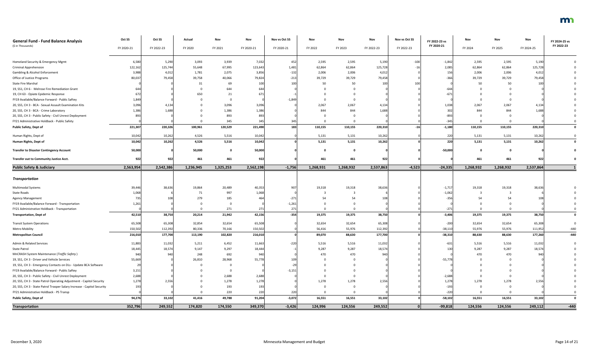| <b>General Fund - Fund Balance Analysis</b><br>(\$ in Thousands)        | Oct SS<br>FY 2020-21 | Oct SS<br>FY 2022-23 | Actual<br>FY 2020 | Nov<br>FY 2021 | Nov<br>FY 2020-21 | Nov vs Oct SS<br>FY 2020-21 | Nov<br>FY 2022 | Nov<br>FY 2023 | Nov<br>FY 2022-23 | Nov vs Oct SS<br>FY 2022-23 | FY 2022-23 vs<br>FY 2020-21 | Nov<br>FY 2024 | Nov<br>FY 2025 | Nov<br>FY 2024-25 | FY 2024-25 vs<br>FY 2022-23 |
|-------------------------------------------------------------------------|----------------------|----------------------|-------------------|----------------|-------------------|-----------------------------|----------------|----------------|-------------------|-----------------------------|-----------------------------|----------------|----------------|-------------------|-----------------------------|
|                                                                         |                      |                      |                   |                |                   |                             |                |                |                   |                             |                             |                |                |                   |                             |
| Homeland Security & Emergency Mgmt                                      | 6,580                | 5,290                | 3,093             | 3,939          | 7,032             | 452                         | 2,595          | 2,595          | 5,190             | $-100$                      | $-1,842$                    | 2,595          | 2,595          | 5,190             |                             |
| <b>Criminal Apprehension</b>                                            | 122,162              | 125,744              | 55,648            | 67,995         | 123,643           | 1,481                       | 62,864         | 62,864         | 125,728           |                             | 2,085                       | 62,864         | 62,864         | 125,728           |                             |
| Gambling & Alcohol Enforcement                                          | 3,988                | 4,012                | 1,781             | 2,075          | 3,856             | $-132$                      | 2,006          | 2,006          | 4,012             |                             | 156                         | 2,006          | 2,006          | 4,012             |                             |
| Office of Justice Programs                                              | 80,037               | 79,458               | 39,758            | 40,066         | 79,824            | $-213$                      | 39,729         | 39,729         | 79,458            |                             | $-366$                      | 39,729         | 39,729         | 79,458            |                             |
| <b>State Fire Marshal</b>                                               |                      |                      |                   | 69             | 100               | 100                         | 50             | 50             | 100               |                             |                             | 50             | 50             | 100               |                             |
| 19, SS1, CH 6 - Melrose Fire Remediation Grant                          | 644                  |                      |                   | 644            | 644               |                             |                |                |                   |                             | $-644$                      |                |                |                   |                             |
| 19, CH 63 - Opiate Epidemic Response                                    |                      |                      | 650               | 21             | 671               |                             |                |                |                   |                             | $-67.$                      |                |                |                   |                             |
| FY19 Available/Balance Forward - Public Saftey                          | 1,849                |                      |                   |                |                   | $-1,849$                    |                |                |                   |                             |                             |                |                |                   |                             |
| 20, SS5, CH 3 - BCA - Sexual Assault Examination Kits                   | 3,096                | 4,134                |                   | 3,096          | 3,096             |                             | 2,067          | 2,067          | 4,134             |                             | 1,038                       | 2,067          | 2,067          | 4,134             |                             |
| 20, SS5, CH 3 - BCA - Crime Laboratory                                  | 1,386                | 1,688                |                   | 1,386          | 1,386             |                             | 844            | 844            | 1,688             |                             | 302                         | 844            | 844            | 1,688             |                             |
| 20, SS5, CH 3 - Public Safety - Civil Unrest Deployment                 | 893                  |                      |                   | 893            | 893               |                             |                |                |                   |                             | $-893$                      |                |                |                   |                             |
| FY21 Administrative Holdback - Public Safety                            |                      |                      |                   | 345            | 345               |                             |                |                |                   |                             | $-345$                      |                |                |                   |                             |
| Public Safety, Dept of                                                  | 221,307              | 220,326              | 100,961           | 120,529        | 221,490           | 183                         | 110,155        | 110,155        | 220,310           |                             | $-1,180$                    | 110,155        | 110,155        | 220,310           | $\mathbf{0}$                |
| Human Rights, Dept of                                                   | 10,042               | 10,262               | 4,526             | 5,516          | 10,042            |                             | 5,131          | 5,131          | 10,262            |                             | 220                         | 5,131          | 5,131          | 10,26             |                             |
| Human Rights, Dept of                                                   | 10,042               | 10,262               | 4,526             | 5,516          | 10,042            |                             | 5,131          | 5,131          | 10,262            |                             | 220                         | 5,131          | 5,131          | 10,262            |                             |
| <b>Transfer to Disaster Contingency Account</b>                         | 50,000               |                      | 50,000            |                | 50,000            |                             |                |                |                   |                             | $-50,000$                   |                |                |                   |                             |
| Transfer out to Community Justice Acct.                                 | 922                  | 922                  | 461               | 461            | 922               |                             | 461            | 461            | 922               |                             |                             | 461            | 461            | 922               |                             |
| <b>Public Safety &amp; Judiciary</b>                                    | 2,563,954            | 2,542,386            | 1,236,945         | 1,325,253      | 2,562,198         | $-1,756$                    | 1,268,931      | 1,268,932      | 2,537,863         | $-4,523$                    | $-24,335$                   | 1,268,932      | 1,268,932      | 2,537,864         |                             |
|                                                                         |                      |                      |                   |                |                   |                             |                |                |                   |                             |                             |                |                |                   |                             |
| <b>Transportation</b>                                                   |                      |                      |                   |                |                   |                             |                |                |                   |                             |                             |                |                |                   |                             |
| Multimodal Systems                                                      | 39,446               | 38,636               | 19,864            | 20,489         | 40,353            | 907                         | 19,318         | 19,318         | 38,636            |                             | $-1,717$                    | 19,318         | 19,318         | 38,636            |                             |
| State Roads                                                             | 1,068                |                      | 71                | 997            | 1,068             |                             |                |                |                   |                             | $-1,062$                    |                |                |                   |                             |
| Agency Management                                                       | 735                  |                      | 279               | 185            | 464               | $-271$                      |                | 54             |                   |                             | $-356$                      |                |                |                   |                             |
| FY19 Available/Balance Forward - Transportation                         | 1,261                |                      |                   |                |                   | $-1,261$                    |                |                |                   |                             |                             |                |                |                   |                             |
| FY21 Administrative Holdback - Transportation                           |                      |                      |                   | 271            | 271               | 271                         | $\Omega$       |                |                   |                             | $-271$                      |                | $\mathbf 0$    |                   | $\Omega$                    |
| <b>Transportation, Dept of</b>                                          | 42,510               | 38,750               | 20,214            | 21,942         | 42,156            | $-354$                      | 19,375         | 19,375         | 38,750            |                             | $-3,406$                    | 19,375         | 19,375         | 38,750            | $\mathbf 0$                 |
| <b>Transit System Operations</b>                                        | 65,508               | 65,308               | 32,854            | 32,654         | 65,508            |                             | 32,654         | 32,654         | 65,308            |                             | $-200$                      | 32,654         | 32,654         | 65,308            |                             |
| <b>Metro Mobility</b>                                                   | 150,502              | 112,392              | 80,336            | 70,166         | 150,502           |                             | 56,416         | 55,976         | 112,392           |                             | $-38,110$                   | 55,976         | 55,976         | 111,952           | $-440$                      |
| <b>Metropolitan Council</b>                                             | 216,010              | 177,700              | 113,190           | 102,820        | 216,010           |                             | 89,070         | 88,630         | 177,700           |                             | $-38,310$                   | 88,630         | 88,630         | 177,260           | $-440$                      |
| Admin & Related Services                                                | 11,883               | 11,032               | 5,211             | 6,452          | 11,663            | $-220$                      | 5,516          | 5,516          | 11,032            |                             | $-631$                      | 5,516          | 5,516          | 11,032            |                             |
| State Patrol                                                            | 18,445               | 18,574               | 9,147             | 9,297          | 18,444            |                             | 9,287          | 9,287          | 18,574            |                             | 130                         | 9,287          | 9,287          | 18,574            |                             |
| MnCRASH System Maintenance (Traffic Safety)                             | 940                  | 940                  | 248               | 692            | 940               |                             | 470            | 470            | 940               |                             |                             | 470            | 470            | 940               |                             |
| 19, SS1, CH 3 - Driver and Vehicle Services                             | 55,669               |                      | 26,810            | 28,968         | 55,778            |                             |                |                |                   |                             | $-55,778$                   |                |                |                   |                             |
| 19, SS1, CH 3 - Emergency Contacts on DLs - Update BCA Software         | -29                  |                      |                   |                |                   |                             |                |                |                   |                             |                             |                |                |                   |                             |
| FY19 Available/Balance Forward - Public Saftey                          | 3,151                |                      |                   |                |                   | $-3,151$                    |                |                |                   |                             |                             |                |                |                   |                             |
| 20, SS5, CH 3 - Public Safety - Civil Unrest Deployment                 | 2,688                |                      |                   | 2,688          | 2,688             |                             |                |                |                   |                             | $-2,688$                    |                |                |                   |                             |
| 20, SS5, CH 3 - State Patrol Operating Adjustment - Capitol Security    | 1,278                | 2,556                |                   | 1,278          | 1,278             |                             | 1,278          | 1,278          | 2,556             |                             | 1,278                       | 1,278          | 1,278          | 2,556             |                             |
| 20, SS5, CH 3 - State Patrol Trooper Salary Increase - Capitol Security | 193                  |                      |                   | 193            | 193               |                             |                |                |                   |                             | $-193$                      |                |                |                   |                             |
| FY21 Administrative Holdback - PS Transp                                |                      |                      |                   | 220            | 220               | 220                         |                |                |                   |                             | $-220$                      | $\Omega$       | $\Omega$       |                   |                             |
| Public Safety, Dept of                                                  | 94,276               | 33,102               | 41,416            | 49,788         | 91,204            | $-3,072$                    | 16,551         | 16,551         | 33,102            |                             | $-58,102$                   | 16,551         | 16,551         | 33,102            | $\mathbf{0}$                |
| Transportation                                                          | 352,796              | 249,552              | 174,820           | 174,550        | 349,370           | $-3,426$                    | 124,996        | 124,556        | 249,552           |                             | $-99,818$                   | 124,556        | 124,556        | 249,112           | $-440$                      |

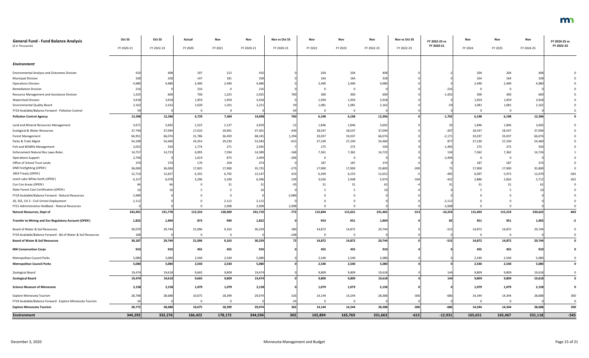| <b>General Fund - Fund Balance Analysis</b>                   | Oct SS     | Oct SS     | Actual      | Nov      | Nov        | Nov vs Oct SS | Nov            | Nov      | Nov        | Nov vs Oct SS | FY 2022-23 vs<br>FY 2020-21 | Nov      | Nov         | Nov        | FY 2024-25 vs<br>FY 2022-23 |
|---------------------------------------------------------------|------------|------------|-------------|----------|------------|---------------|----------------|----------|------------|---------------|-----------------------------|----------|-------------|------------|-----------------------------|
| (\$ in Thousands)                                             | FY 2020-21 | FY 2022-23 | FY 2020     | FY 2021  | FY 2020-21 | FY 2020-21    | FY 2022        | FY 2023  | FY 2022-23 | FY 2022-23    |                             | FY 2024  | FY 2025     | FY 2024-25 |                             |
| Environment                                                   |            |            |             |          |            |               |                |          |            |               |                             |          |             |            |                             |
| <b>Environmental Analysis and Outcomes Division</b>           | 410        | 408        | 197         | 213      | 410        |               | 204            | 204      | 408        |               |                             | 204      | 204         | 408        |                             |
| <b>Municipal Division</b>                                     | 328        | 328        | 147         | 181      | 328        |               | 164            | 164      | 328        |               |                             | 164      | 164         | 328        |                             |
| <b>Operations Division</b>                                    | 4,980      | 4,980      | 2,490       | 2,490    | 4,980      |               | 2,490          | 2,490    | 4,980      |               |                             | 2,490    | 2,490       | 4,980      |                             |
| <b>Remediation Division</b>                                   | 216        |            | 216         |          | 216        |               |                |          |            |               | $-216$                      |          |             |            |                             |
| Resource Management and Assistance Division                   | 1,325      | 600        | 700         | 1,325    | 2,025      | 70            | 300            | 300      | 600        |               | $-1,425$                    | 300      | 300         | 600        |                             |
| <b>Watershed Division</b>                                     | 3,918      | 3,918      | 1,959       | 1,959    | 3,918      |               | 1,959          | 1,959    | 3,918      |               |                             | 1,959    | 1,959       | 3,918      |                             |
| <b>Environmental Quality Board</b>                            | 2,162      | 2,162      | 1,020       | 1,201    | 2,221      |               | 1,081          | 1,081    | 2,162      |               |                             | 1,081    | 1,081       | 2,16       |                             |
| FY19 Available/Balance Forward - Pollution Control            |            |            | - 0         |          |            |               |                |          |            |               |                             |          |             |            |                             |
| <b>Pollution Control Agency</b>                               | 13,398     | 12,396     | 6,729       | 7,369    | 14,098     | 700           | 6,198          | 6,198    | 12,396     |               | $-1,702$                    | 6,198    | 6,198       | 12,396     | $\mathbf{0}$                |
| Land and Mineral Resources Management                         | 3,671      | 3,692      | 1,522       | 2,137    | 3,659      | $-12$         | 1,846          | 1,846    | 3,692      |               | 33                          | 1,846    | 1,846       | 3,692      |                             |
| <b>Ecological &amp; Water Resources</b>                       | 37,740     | 37,094     | 17,610      | 19,691   | 37,301     | $-439$        | 18,547         | 18,547   | 37,094     |               | $-207$                      | 18,547   | 18,547      | 37,094     |                             |
| Forest Management                                             | 66,951     | 66,074     | 31,786      | 36,459   | 68,245     | 1,294         | 33,037         | 33,037   | 66,074     |               | $-2,171$                    | 33,037   | 33,037      | 66,074     |                             |
| Parks & Trails Mgmt                                           | 54,198     | 54,460     | 24,353      | 29,230   | 53,583     | $-615$        | 27,230         | 27,230   | 54,460     |               | 877                         | 27,230   | 27,230      | 54,460     |                             |
| Fish and Wildlife Management                                  | 2,052      | 550        | 1,774       | 271      | 2,045      |               | 275            | 275      | 550        |               | $-1,495$                    | 275      | 275         | 55C        |                             |
| Enforcement Natural Res Laws-Rules                            | 14,757     | 14,723     | 6,995       | 7,594    | 14,589     | $-168$        | 7,361          | 7,362    | 14,723     |               | 134                         | 7,362    | 7,362       | 14,724     |                             |
| <b>Operations Support</b>                                     | 2,700      |            | 1,619       | 875      | 2,494      | $-206$        | 0              |          |            |               | $-2,494$                    |          | 0           |            |                             |
| Office of School Trust Lands                                  | 374        | 374        | 170         | 204      | 374        |               | 187            | 187      | 374        |               |                             | 187      | 187         | 374        |                             |
| DNR Firefighting (OPEN)                                       | 36,000     | 36,000     | 17,825      | 17,900   | 35,725     | $-275$        | 17,900         | 17,900   | 35,800     | $-200$        | 75                          | 17,900   | 17,900      | 35,800     |                             |
| 1854 Treaty (OPEN)                                            | 12,714     | 12,657     | 6,355       | 6,792    | 13,147     | 433           | 6,399          | 6,253    | 12,652     |               | -495                        | 6,097    | 5,973       | 12,070     | $-582$                      |
| Leech Lake White Earth (OPEN)                                 | 6,157      | 6,078      | 3,296       | 3,100    | 6,396      | 239           | 3,026          | 2,948    | 5,974      | $-104$        | $-422$                      | 2,886    | 2,826       | 5,71       | $-262$                      |
| Con Con Areas (OPEN)                                          |            |            |             | 31       |            |               | 31             | -31      |            |               |                             | 31       | 31          |            |                             |
| State Forest Cost Certification (OPEN)                        |            |            |             |          |            |               |                |          |            |               |                             |          |             |            |                             |
| FY19 Available/Balance Forward - Natural Resources            | 2,989      |            |             |          |            | $-2,989$      |                |          |            |               |                             |          |             |            |                             |
| 20, SS5, CH 3 - Civil Unrest Deployment                       | 2,112      |            | $\Omega$    | 2,112    | 2,112      |               |                |          |            |               | $-2,112$                    |          |             |            |                             |
| FY21 Administrative Holdback - Natural Resources              |            |            |             | 2,008    | 2,008      | 2,008         |                |          |            |               | $-2,008$                    |          |             |            |                             |
| <b>Natural Resources, Dept of</b>                             | 242,491    | 231,778    | 113,310     | 128,409  | 241,719    | $-772$        | 115,844        | 115,621  | 231,465    | $-313$        | $-10,254$                   | 115,403  | 115,219     | 230,622    | $-843$                      |
| Transfer to Mining and Env Regulatory Account (OPEN)          | 1,822      | 1,904      | 873         | 949      | 1,822      |               | 953            | 951      | 1,904      |               | 82                          | 951      | 951         | 1,902      | $-2$                        |
| Board of Water & Soil Resources                               | 30,079     | 29,744     | 21,096      | 9,163    | 30,259     | 180           | 14,872         | 14,872   | 29,744     |               | $-515$                      | 14,872   | 14,872      | 29,744     |                             |
| FY19 Available/Balance Forward - Bd of Water & Soil Resources | 108        |            | $\mathbf 0$ | $\Omega$ |            | $-108$        | $\overline{0}$ | $\Omega$ |            |               |                             | $\Omega$ | $\mathbf 0$ |            |                             |
| <b>Board of Water &amp; Soil Resources</b>                    | 30,187     | 29,744     | 21,096      | 9,163    | 30,259     |               | 14,872         | 14,872   | 29,744     |               | $-515$                      | 14,872   | 14,872      | 29,744     | $\mathbf 0$                 |
| <b>MN Conservation Corps</b>                                  | 910        | 910        | 455         | 455      | 910        |               | 455            | 455      | 910        |               |                             | 455      | 455         | 910        |                             |
| Metropolitan Council Parks                                    | 5,080      | 5,080      | 2,540       | 2,540    | 5,080      |               | 2,540          | 2,540    | 5,080      |               |                             | 2,540    | 2,540       | 5,080      | $\mathbf 0$                 |
| <b>Metropolitan Council Parks</b>                             | 5,080      | 5,080      | 2,540       | 2,540    | 5,080      |               | 2,540          | 2,540    | 5,080      |               |                             | 2,540    | 2,540       | 5,080      | $\mathbf 0$                 |
| Zoological Board                                              | 19,474     | 19,618     | 9,665       | 9,809    | 19,474     |               | 9,809          | 9,809    | 19,618     |               | 144                         | 9,809    | 9,809       | 19,618     | 0                           |
| <b>Zoological Board</b>                                       | 19,474     | 19,618     | 9,665       | 9,809    | 19,474     |               | 9,809          | 9,809    | 19,618     |               | 144                         | 9,809    | 9,809       | 19,618     | $\mathbf 0$                 |
| <b>Science Museum of Minnesota</b>                            | 2,158      | 2,158      | 1,079       | 1,079    | 2,158      |               | 1,079          | 1,079    | 2,158      |               |                             | 1,079    | 1,079       | 2,158      | $\mathbf 0$                 |
| Explore Minnesota Tourism                                     | 28,748     | 28,688     | 10,675      | 18,399   | 29,074     | 326           | 14,144         | 14,244   | 28,388     | $-300$        | $-686$                      | 14,344   | 14,344      | 28,688     | 300                         |
| FY19 Available/Balance Forward - Explore Minnesota Tourism    |            |            | $\Omega$    |          |            | $-24$         | $\Omega$       |          |            |               |                             |          |             |            | $\Omega$                    |
| <b>Explore Minnesota Tourism</b>                              | 28,772     | 28,688     | 10,675      | 18,399   | 29,074     | 302           | 14,144         | 14,244   | 28,388     | $-300$        | $-686$                      | 14,344   | 14,344      | 28,688     | 300                         |
| <b>Environment</b>                                            | 344,292    | 332,276    | 166,422     | 178,172  | 344,594    | 302           | 165,894        | 165,769  | 331,663    | $-613$        | $-12,931$                   | 165,651  | 165,467     | 331,118    | $-545$                      |
|                                                               |            |            |             |          |            |               |                |          |            |               |                             |          |             |            |                             |

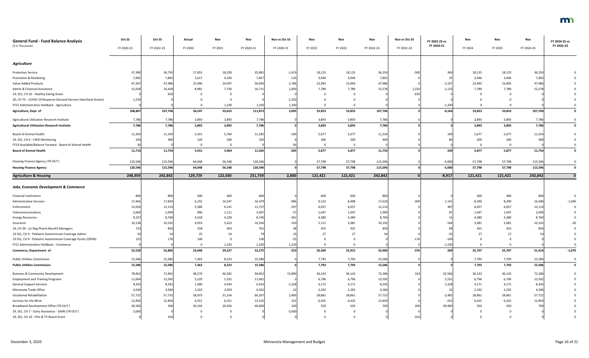| <b>General Fund - Fund Balance Analysis</b>                     | Oct SS     | Oct SS     | Actual       | Nov     | Nov        | Nov vs Oct SS   | Nov            | Nov      | Nov        | Nov vs Oct SS | FY 2022-23 vs   | Nov     | Nov      | Nov        | FY 2024-25 vs |
|-----------------------------------------------------------------|------------|------------|--------------|---------|------------|-----------------|----------------|----------|------------|---------------|-----------------|---------|----------|------------|---------------|
| (\$ in Thousands)                                               | FY 2020-21 | FY 2022-23 | FY 2020      | FY 2021 | FY 2020-21 | FY 2020-21      | FY 2022        | FY 2023  | FY 2022-23 | FY 2022-23    | FY 2020-21      | FY 2024 | FY 2025  | FY 2024-25 | FY 2022-23    |
| <b>Agriculture</b>                                              |            |            |              |         |            |                 |                |          |            |               |                 |         |          |            |               |
| <b>Protection Service</b>                                       | 37,300     | 36,750     | 17,653       | 18,228  | 35,881     | $-1,41$         | 18,125         | 18,125   | 36,250     | $-500$        | 369             | 18,125  | 18,125   | 36,250     |               |
| Promotion & Marketing                                           | 7,992      | 7,892      | 3,617        | 4,240   | 7,857      | $-135$          | 3,946          | 3,946    | 7,892      |               | 35 <sub>l</sub> | 3,946   | 3,946    | 7,892      |               |
| Value-Added Products                                            | 47,30      | 47,986     | 25,996       | 24,097  | 50,093     | 2,786           | 23,993         | 23,993   | 47,986     |               | $-2,107$        | 23,993  | 23,993   | 47,986     |               |
| Admin & Financial Assistance                                    | 15,018     | 14,428     | 8,981        | 7,730   | 16,711     | 1,693           | 7,789          | 7,789    | 15,578     | 1,150         | $-1,133$        | 7,789   | 7,789    | 15,578     |               |
| 19, SS1, CH 10 - Healthy Eating Grant                           |            |            |              |         |            |                 |                |          |            | $-650$        |                 |         |          |            |               |
| 20, CH 73 - COVID-19 Response (Second Harvest Heartland Grants) | 1,250      |            |              |         |            | $-1,250$        |                |          |            |               |                 |         |          |            |               |
| FY21 Administrative Holdback - Agriculture                      |            |            | $\Omega$     | 1,330   | 1,330      | 1,330           |                |          |            |               | $-1,330$        |         |          |            |               |
| Agriculture, Dept of                                            | 108,86     | 107,706    | 56,247       | 55,625  | 111,872    | 3,005           | 53,853         | 53,853   | 107,706    |               | $-4,166$        | 53,853  | 53,853   | 107,706    | $\mathbf 0$   |
| Agricultural Utilization Research Institute                     | 7,786      | 7,786      | 3,893        | 3,893   | 7,786      |                 | 3,893          | 3,893    | 7,786      |               |                 | 3,893   | 3,893    | 7,786      | $\Omega$      |
| <b>Agricultural Utilization Research Institute</b>              | 7,786      | 7,786      | 3,893        | 3,893   | 7,786      |                 | 3,893          | 3,893    | 7,786      |               |                 | 3,893   | 3,893    | 7,786      | $\mathbf 0$   |
|                                                                 |            |            |              |         |            |                 |                |          |            |               |                 |         |          |            |               |
| <b>Board of Animal Health</b>                                   | 11,354     | 11,354     | 5,421        | 5,764   | 11,185     | $-169$          | 5,677          | 5,677    | 11,354     |               | 169             | 5,677   | 5,677    | 11,354     |               |
| 19, SS1, CH 4 - CWD Monitoring                                  | 320        | 40         | 120          | 200     | 320        |                 | 200            | 200      | 400        |               |                 | 200     | 200      | 400        |               |
| FY19 Available/Balance Forward - Board of Animal Health         |            |            | $\mathbf 0$  |         |            |                 | $\overline{0}$ | 0        |            |               |                 |         | 0        |            |               |
| <b>Board of Animal Health</b>                                   | 11,71      | 11,754     | 5,541        | 5,964   | 11,505     | $-205$          | 5,877          | 5,877    | 11,754     |               | 249             | 5,877   | 5,877    | 11,754     | $\mathbf 0$   |
| Housing Finance Agency (TR OUT)                                 | 120,596    | 115,596    | 64,048       | 56,548  | 120,596    |                 | 57,798         | 57,798   | 115,596    |               | $-5,000$        | 57,798  | 57,798   | 115,596    |               |
| <b>Housing Finance Agency</b>                                   | 120,596    | 115,596    | 64,048       | 56,548  | 120,596    |                 | 57,798         | 57,798   | 115,596    |               | $-5,000$        | 57,798  | 57,798   | 115,596    | $\Omega$      |
| <b>Agriculture &amp; Housing</b>                                | 248,959    | 242,842    | 129,729      | 122,030 | 251,759    | 2,800           | 121,421        | 121,421  | 242,842    |               | $-8,917$        | 121,421 | 121,421  | 242,842    |               |
|                                                                 |            |            |              |         |            |                 |                |          |            |               |                 |         |          |            |               |
| <b>Jobs, Economic Development &amp; Commerce</b>                |            |            |              |         |            |                 |                |          |            |               |                 |         |          |            |               |
| <b>Financial Institutions</b>                                   | 800        | 800        | 400          | 400     | 800        |                 | 400            | 400      | 800        |               |                 | 400     | 400      | 800        |               |
| <b>Administrative Services</b>                                  | 17,465     | 17,820     | 6,232        | 10,247  | 16,479     | $-986$          | 9,122          | 8,498    | 17,620     | $-200$        | 1,141           | 8,290   | 8,290    | 16,580     | $-1,040$      |
| Enforcement                                                     | 12,024     | 12,114     | 5,586        | 6,141   | 11,727     | $-297$          | 6,057          | 6,057    | 12,114     |               | 387             | 6,057   | 6,057    | 12,114     |               |
| Telecommunications                                              | 2,064      | 2,094      | 896          | 1,111   | 2,007      | -5              | 1,047          | 1,047    | 2,094      |               |                 | 1,047   | 1,047    | 2,094      |               |
| <b>Energy Resources</b>                                         | 9,107      | 8,760      | 4,518        | 4,228   | 8,746      | $-361$          | 4,380          | 4,380    | 8,760      |               |                 | 4,380   | 4,380    | 8,760      |               |
| Insurance                                                       | 10,136     | 10,192     | 4,933        | 5,423   | 10,356     | 220             | 5,111          | 5,081    | 10,192     |               | $-164$          | 5,081   | 5,081    | 10,162     |               |
| 19, CH 39 - Lic Reg Pharm Benefit Managers                      | 723        | 85         | 358          | 403     | 761        |                 | 425            | 425      | 850        |               |                 | 425     | 425      | 850        |               |
| 19 SS1, CH 9 - Pediatric Autoimmune Coverage Admin              |            |            | 25           | 54      |            |                 | 27             | 27       |            |               |                 | 27      | 27       |            |               |
| 19 SS1, CH 9 - Pediatric Autoimmune Coverage Pymts (OPEN)       |            |            | 100          |         | 100        |                 |                |          |            | $-176$        | $-100$          |         |          |            |               |
| FY21 Administrative Holdback - Commerce                         |            |            | $\mathbf{0}$ | 1,220   | 1,220      | 1,220           |                | $\Omega$ |            |               | $-1,220$        |         |          |            |               |
| Commerce, Department of                                         | 52,528     | 52,860     | 23,048       | 29,227  | 52,275     | $-253$          | 26,569         | 25,915   | 52,484     | $-376$        | 209             | 25,707  | 25,707   | 51,414     | $-1,070$      |
| <b>Public Utilities Commission</b>                              | 15,586     | 15,586     | 7,363        | 8,223   | 15,586     |                 | 7,793          | 7,793    | 15,586     |               |                 | 7,793   | 7,793    | 15,586     | $\mathbf 0$   |
| <b>Public Utilities Commission</b>                              | 15,58      | 15,586     | 7,363        | 8,223   | 15,586     |                 | 7,793          | 7,793    | 15,586     |               |                 | 7,793   | 7,793    | 15,586     | $\mathbf 0$   |
| <b>Business &amp; Community Development</b>                     | 78,962     | 71,962     | 48,270       | 46,582  | 94,852     | 15,890          | 36,143         | 36,143   | 72,286     | 324           | $-22,566$       | 36,143  | 36,143   | 72,286     |               |
| <b>Employment and Training Programs</b>                         | 11,064     | 13,592     | 5,529        | 5,532   | 11,061     |                 | 6,796          | 6,796    | 13,592     |               | 2,531           | 6,796   | 6,796    | 13,592     |               |
| <b>General Support Services</b>                                 | 8,342      | 8,342      | 1,580        | 4,434   | 6,014      | $-2,328$        | 4,171          | 4,171    | 8,342      |               | 2,328           | 4,171   | 4,171    | 8,342      |               |
| Minnesota Trade Office                                          | 4,584      | 4,584      | 2,103        | 2,459   | 4,562      | $-2i$           | 2,292          | 2,292    | 4,584      |               | 22              | 2,292   | 2,292    | 4,584      |               |
| <b>Vocational Rehabilitation</b>                                | 57,722     | 57,722     | 28,973       | 31,234  | 60,207     | 2,485           | 28,861         | 28,861   | 57,722     |               | $-2,485$        | 28,861  | 28,861   | 57,722     |               |
| Services for the Blind                                          | 12,850     | 12,850     | 6,551        | 6,551   | 13,102     | 252             | 6,425          | 6,425    | 12,850     |               | $-252$          | 6,425   | 6,425    | 12,850     |               |
| Broadband Development Office (TR-OUT)                           | 40,500     | 500        | 20,144       | 20,456  | 40,600     | 10 <sup>C</sup> | 350            | 350      | 700        | 200           | $-39,900$       | 350     | 350      | 700        |               |
| 19, SS1, CH 7 - Dairy Assistance - DAIRI (TR OUT)               | 3,000      |            | $\Omega$     |         |            | $-3,000$        | $\Omega$       | $\Omega$ |            |               |                 |         | 0        |            |               |
| 19, SS1, CH 10 - Film & TV Board Grant                          |            | 324        | $\Omega$     |         |            |                 | $\Omega$       | - 0      |            | $-324$        |                 |         | $\Omega$ |            |               |

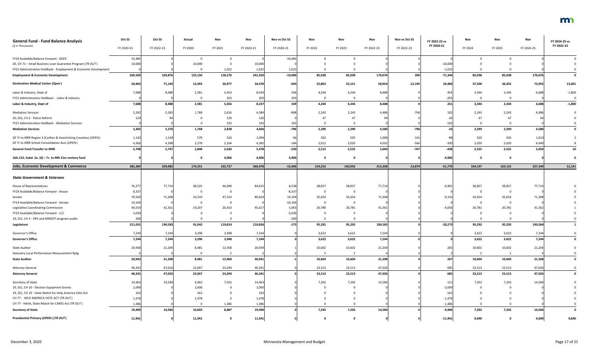| <b>General Fund - Fund Balance Analysis</b><br>(\$ in Thousands) | Oct SS<br>FY 2020-21 | Oct SS<br>FY 2022-23 | Actual<br>FY 2020 | Nov<br>FY 2021 | Nov<br>FY 2020-21 | Nov vs Oct SS<br>FY 2020-21 | Nov<br>FY 2022 | Nov<br>FY 2023 | Nov<br>FY 2022-23 | Nov vs Oct SS<br>FY 2022-23 | FY 2022-23 vs<br>FY 2020-21 | Nov<br>FY 2024 | Nov<br>FY 2025 | Nov<br>FY 2024-25 | FY 2024-25 vs<br>FY 2022-23 |
|------------------------------------------------------------------|----------------------|----------------------|-------------------|----------------|-------------------|-----------------------------|----------------|----------------|-------------------|-----------------------------|-----------------------------|----------------|----------------|-------------------|-----------------------------|
| FY19 Available/Balance Forward - DEED                            | 33,485               |                      |                   |                |                   | $-33,485$                   |                |                |                   |                             |                             |                |                |                   |                             |
| 20, CH 71 - Small Business Loan Guarantee Program (TR OUT)       | 10,000               |                      | 10,000            |                | 10,000            |                             |                |                |                   |                             | $-10,000$                   |                |                |                   |                             |
| FY21 Administrative Holdback - Employment & Economic Development |                      |                      |                   | 1,022          | 1,022             | 1,022                       |                |                |                   |                             | $-1,022$                    |                |                |                   |                             |
| <b>Employment &amp; Economic Development</b>                     | 260,509              | 169,876              | 123,150           | 118,270        | 241,420           | $-19,089$                   | 85,038         | 85,038         | 170,076           | 200                         | $-71,344$                   | 85,038         | 85,038         | 170,076           |                             |
| <b>Destination Medical Center (Open)</b>                         | 34,963               | 71,149               | 13,493            | 20,977         | 34,470            | $-493$                      | 25,803         | 33,151         | 58,954            | $-12,195$                   | 24,484                      | 37,500         | 36,455         | 73,955            | 15,001                      |
| Labor & Industry, Dept of                                        | 7,688                | 8,488                | 2,581             | 5,453          | 8,034             | 346                         | 4,244          | 4,244          | 8,488             |                             | 454                         | 3,344          | 3,344          | 6,688             | $-1,800$                    |
| FY21 Administrative Holdback - Labor & Industry                  |                      |                      |                   | 203            | 203               | 203                         |                |                |                   |                             | $-203$                      | $\Omega$       | $\Omega$       |                   |                             |
| Labor & Industry, Dept of                                        | 7,688                | 8,488                | 2,581             | 5,656          | 8,237             | 549                         | 4,244          | 4,244          | 8,488             |                             | 251                         | 3,344          | 3,344          | 6,688             | $-1,800$                    |
| <b>Mediation Services</b>                                        | 5,282                | 5,282                | 1,768             | 2,616          | 4,384             | -898                        | 2,243          | 2,243          | 4,486             | $-796$                      | 102                         | 2,243          | 2,243          | 4,486             |                             |
| 20, SS2, CH 2 - Police Reform                                    | 120                  |                      |                   | 120            | 120               |                             |                | 47             |                   |                             |                             | 47             | 47             |                   |                             |
| FY21 Administrative Holdback - Mediation Services                |                      |                      |                   | 102            | 102               | 102                         |                |                |                   |                             | $-102$                      | $\Omega$       | $\Omega$       |                   |                             |
| <b>Mediation Services</b>                                        | 5,402                | 5,376                | 1,768             | 2,838          | 4,606             | $-796$                      | 2,290          | 2,290          | 4,580             | $-796$                      | $-26$                       | 2,290          | 2,290          | 4,580             |                             |
| GF Tr to IRRR Region 3 (Carlton & Koochiching Counties) (OPEN)   | 1,142                | 1,149                | 570               | 526            | 1,096             |                             | 503            | 505            | 1,008             | $-141$                      | -88                         | 505            | 505            | 1,010             |                             |
| GF Tr to IRRR School Consolidation Acct (OPEN)                   | 4,566                | 4,598                | 2,278             | 2,104          | 4,382             | $-184$                      | 2,012          | 2,020          | 4,032             | $-566$                      | $-350$                      | 2,020          | 2,020          | 4,040             |                             |
| <b>General Fund Transfer to IRRR</b>                             | 5,708                | 5,747                | 2,848             | 2,630          | 5,478             | $-230$                      | 2,515          | 2,525          | 5,040             | $-707$                      | $-438$                      | 2,525          | 2,525          | 5,050             | 10                          |
| 16A.152, Subd. 2a. (6) - Tr. to MN 21st century fund             |                      |                      |                   | 4,906          | 4,906             | 4,906                       |                |                |                   |                             | $-4,906$                    |                |                |                   |                             |
| <b>Jobs, Economic Development &amp; Commerce</b>                 | 382,384              | 329,082              | 174,251           | 192,727        | 366,978           | $-15,406$                   | 154,252        | 160,956        | 315,208           | $-13,874$                   | $-51,770$                   | 164,197        | 163,152        | 327,349           | 12,141                      |
|                                                                  |                      |                      |                   |                |                   |                             |                |                |                   |                             |                             |                |                |                   |                             |
| <b>State Government &amp; Veterans</b>                           |                      |                      |                   |                |                   |                             |                |                |                   |                             |                             |                |                |                   |                             |
| House of Representatives                                         | 76,277               | 77,714               | 38,525            | 46,090         | 84,615            | 8,338                       | 38,857         | 38,857         | 77,714            |                             | $-6,901$                    | 38,857         | 38,857         | 77,714            |                             |
| FY19 Available/Balance Forward - House                           | 8,337                |                      |                   | $\Omega$       |                   | $-8,337$                    |                |                |                   |                             |                             | 0              | - 0            |                   |                             |
| Senate                                                           | 70,520               | 71,308               | 33,310            | 47,314         | 80,624            | 10,104                      | 35,654         | 35,654         | 71,308            |                             | $-9,316$                    | 35,654         | 35,654         | 71,308            |                             |
| FY19 Available/Balance Forward - Senate                          | 10,104               |                      |                   |                |                   | $-10,104$                   |                |                |                   |                             |                             |                |                |                   |                             |
| Legislative Coordinating Commission                              | 40,554               | 41,561               | 19,207            | 26,410         | 45,617            | 5,063                       | 20,780         | 20,781         | 41,561            |                             | $-4,056$                    | 20,781         | 20,781         | 41,562            |                             |
| FY19 Available/Balance Forward - LCC                             | 5,039                |                      |                   |                |                   | $-5,039$                    |                |                |                   |                             |                             |                |                |                   |                             |
| 19, SS1, CH 3 - DPS and MNDOT program audits                     | 200                  |                      |                   |                |                   | $-200$                      |                |                |                   |                             |                             |                |                |                   |                             |
| Legislature                                                      | 211,031              | 190,583              | 91,042            | 119,814        | 210,856           | $-175$                      | 95,291         | 95,292         | 190,583           |                             | $-20,273$                   | 95,292         | 95,292         | 190,584           |                             |
| Governor's Office                                                | 7,244                | 7,244                | 3,296             | 3,948          | 7,244             |                             | 3,622          | 3,622          | 7,244             |                             |                             | 3,622          | 3,622          | 7,244             |                             |
| <b>Governor's Office</b>                                         | 7,244                | 7,244                | 3,296             | 3,948          | 7,244             |                             | 3,622          | 3,622          | 7,244             |                             |                             | 3,622          | 3,622          | 7,244             | $\mathbf 0$                 |
| <b>State Auditor</b>                                             | 20,938               | 21,204               | 8,481             | 12,458         | 20,939            |                             | 10,602         | 10,602         | 21,204            |                             | 265                         | 10,602         | 10,602         | 21,204            |                             |
| <b>Statutory Local Performance Measurement Rptg</b>              |                      |                      |                   |                |                   |                             |                |                |                   |                             |                             |                |                |                   |                             |
| <b>State Auditor</b>                                             | 20,942               | 21,208               | 8,481             | 12,460         | 20,941            |                             | 10,604         | 10,604         | 21,208            |                             | 267                         | 10,604         | 10,604         | 21,208            |                             |
| <b>Attorney General</b>                                          | 46,341               | 47,026               | 22,047            | 24,294         | 46,341            |                             | 23,513         | 23,513         | 47,026            |                             | 685                         | 23,513         | 23,513         | 47,026            |                             |
| <b>Attorney General</b>                                          | 46,341               | 47,026               | 22,047            | 24,294         | 46,341            |                             | 23,513         | 23,513         | 47,026            |                             | 685                         | 23,513         | 23,513         | 47,026            |                             |
| Secretary of State                                               | 14,463               | 14,584               | 6,962             | 7,501          | 14,463            |                             | 7,292          | 7,292          | 14,584            |                             | 121                         | 7,292          | 7,292          | 14,584            |                             |
| 19, SS1, CH 10 - Election Equipment Grants                       | 2,000                |                      | 2,000             |                | 2,000             |                             |                |                |                   |                             | $-2,000$                    |                |                |                   |                             |
| 19, SS1, CH 10 - State Match for Help America Vote Act           | 163                  |                      | 163               |                | 163               |                             |                |                |                   |                             | $-163$                      |                |                |                   |                             |
| CH 77 - HELP AMERICA VOTE ACT (TR OUT)                           | 1,478                |                      | 1,478             |                | 1,478             |                             |                |                |                   |                             | $-1,478$                    |                |                |                   |                             |
| CH 77 - HAVA, State Match for CARES Act (TR OUT)                 | 1,386                |                      |                   | 1,386          | 1,386             |                             |                |                |                   |                             | $-1,386$                    |                |                |                   |                             |
| <b>Secretary of State</b>                                        | 19,490               | 14,584               | 10,603            | 8,887          | 19,490            |                             | 7,292          | 7,292          | 14,584            |                             | $-4,906$                    | 7,292          | 7,292          | 14,584            |                             |
| Presidential Primary (OPEN) (TR OUT)                             | 11,941               |                      | 11,941            | 0              | 11,941            |                             |                | 0              |                   |                             | $-11,941$                   | 9,690          | 0              | 9,690             | 9,690                       |

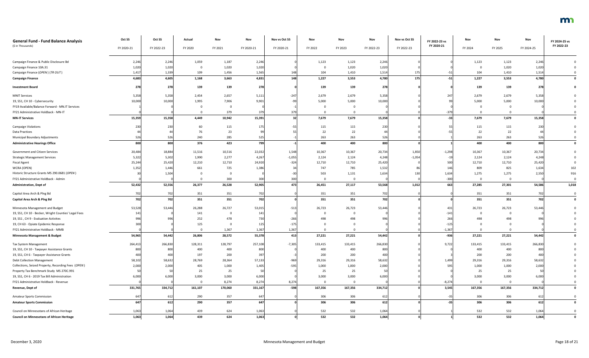| <b>General Fund - Fund Balance Analysis</b><br>(\$ in Thousands) | Oct SS     | Oct SS     | Actual   | Nov     | Nov        | Nov vs Oct SS | Nov      | Nov      | Nov        | Nov vs Oct SS   | FY 2022-23 vs<br>FY 2020-21 | Nov      | Nov      | Nov        | FY 2024-25 vs<br>FY 2022-23 |
|------------------------------------------------------------------|------------|------------|----------|---------|------------|---------------|----------|----------|------------|-----------------|-----------------------------|----------|----------|------------|-----------------------------|
|                                                                  | FY 2020-21 | FY 2022-23 | FY 2020  | FY 2021 | FY 2020-21 | FY 2020-21    | FY 2022  | FY 2023  | FY 2022-23 | FY 2022-23      |                             | FY 2024  | FY 2025  | FY 2024-25 |                             |
| Campaign Finance & Public Disclosure Bd                          | 2,246      | 2,246      | 1,059    | 1,187   | 2,246      |               | 1,123    | 1,123    | 2,246      |                 |                             | 1,123    | 1,123    | 2,24       |                             |
| Campaign Finance 10A.31                                          | 1,020      | 1,020      | 0        | 1,020   | 1,020      |               |          | 1,020    | 1,020      |                 |                             |          | 1,020    | 1,020      |                             |
| Campaign Finance (OPEN) (TR OUT)                                 | 1,417      | 1,339      | 109      | 1,456   | 1,565      |               | 104      | 1,410    | 1,514      | 17              | $-51$                       | 104      | 1,410    | 1,514      |                             |
| <b>Campaign Finance</b>                                          | 4,683      | 4,605      | 1,168    | 3,663   | 4,831      | 148           | 1,227    | 3,553    | 4,780      | 175             | $-51$                       | 1,227    | 3,553    | 4,780      | $\mathbf{0}$                |
| <b>Investment Board</b>                                          | 278        | 278        | 139      | 139     | 278        |               | 139      | 139      | 278        |                 |                             | 139      | 139      | 278        |                             |
| <b>MNIT Services</b>                                             | 5,358      | 5,358      | 2,454    | 2,657   | 5,111      | $-247$        | 2,679    | 2,679    | 5,358      |                 | 247                         | 2,679    | 2,679    | 5,358      |                             |
| 19, SS1, CH 10 - Cybersecurity                                   | 10,000     | 10,000     | 1,995    | 7,906   | 9,901      |               | 5,000    | 5,000    | 10,000     |                 |                             | 5,000    | 5,000    | 10,000     |                             |
| FY19 Available/Balance Forward - MN.IT Services                  |            |            |          |         |            |               |          |          |            |                 |                             |          |          |            |                             |
| FY21 Administrative Holdback - MN-IT                             |            |            |          | 379     | 379        |               |          |          |            |                 | $-379$                      |          |          |            |                             |
| <b>MN-IT Services</b>                                            | 15,359     | 15,358     | 4,449    | 10,942  | 15,391     |               | 7,679    | 7,679    | 15,358     |                 | $-33$                       | 7,679    | 7,679    | 15,358     | $\mathbf 0$                 |
| <b>Campaign Violations</b>                                       | 230        | 230        | 60       | 115     | 175        |               | 115      | 115      | 230        |                 | 55                          | 115      | 115      | 230        |                             |
| <b>Data Practices</b>                                            |            |            | 76       | 23      |            |               | 22       | 22       |            |                 | $-55$                       | 22       | 22       |            |                             |
| Municipal Boundary Adjustments                                   | 526        | 526        | 240      | 285     | 525        |               | 263      | 263      | 526        |                 |                             | 263      | 263      | 526        |                             |
| <b>Administrative Hearings Office</b>                            | 800        | 800        | 376      | 423     | 799        |               | 400      | 400      | 800        |                 |                             | 400      | 400      | 800        |                             |
| Government and Citizen Services                                  | 20,484     | 18,884     | 11,516   | 10,516  | 22,032     | 1,548         | 10,367   | 10,367   | 20,734     | 1,850           | $-1,298$                    | 10,367   | 10,367   | 20,734     |                             |
| <b>Strategic Management Services</b>                             | 5,322      | 5,302      | 1,990    | 2,277   | 4,267      | $-1,055$      | 2,124    | 2,124    | 4,248      | $-1,054$        | $-19$                       | 2,124    | 2,124    | 4,248      |                             |
| <b>Fiscal Agent</b>                                              | 25,244     | 25,420     | 12,210   | 12,710  | 24,920     | $-324$        | 12,710   | 12,710   | 25,420     |                 | 500                         | 12,710   | 12,710   | 25,420     |                             |
| WCRA (OPEN)                                                      | 1,352      | 1,446      | 661      | 725     | 1,386      |               | 747      | 785      | 1,532      |                 | 146                         | 809      | 825      | 1,634      | 102                         |
| Historic Structure Grants MS 290.0681 (OPEN)                     |            | 1,504      |          |         |            |               | 503      | 1,131    | 1,634      | 13 <sub>0</sub> | 1,634                       | 1,275    | 1,275    | 2,550      | 916                         |
| FY21 Administrative Holdback - Admin                             |            |            |          | 300     | 300        | 300           | - 0      | $\Omega$ |            |                 | $-300$                      | $\Omega$ | $\Omega$ |            | $\Omega$                    |
| <b>Administration, Dept of</b>                                   | 52,432     | 52,556     | 26,377   | 26,528  | 52,905     | 473           | 26,451   | 27,117   | 53,568     | 1,012           | 663                         | 27,285   | 27,301   | 54,586     | 1,018                       |
| Capitol Area Arch & Plng Bd                                      | 702        | 702        | 351      | 351     | 702        |               | 351      | 351      | 702        |                 |                             | 351      | 351      | 702        |                             |
| Capitol Area Arch & Ping Bd                                      | 702        | 702        | 351      | 351     | 702        |               | 351      | 351      | 702        |                 |                             | 351      | 351      | 702        | $\mathbf{0}$                |
| Minnesota Management and Budget                                  | 53,528     | 53,446     | 26,288   | 26,727  | 53,015     | $-513$        | 26,723   | 26,723   | 53,446     |                 | 431                         | 26,723   | 26,723   | 53,44      |                             |
| 19, SS1, CH 10 - Becker, Wright Counties' Legal Fees             | 141        |            | 141      |         | 141        |               |          |          |            |                 | $-141$                      | $\Omega$ |          |            |                             |
| 19, SS1, CH 9 - Evaluation Activites                             | 996        |            | 252      | 478     | 730        | $-266$        |          | 498      |            |                 | 266                         | 498      | 498      |            |                             |
| 19, CH 63 - Opiate Epidemic Response                             | 300        |            | 125      |         | 125        | $-175$        |          |          |            |                 | $-125$                      |          |          |            |                             |
| FY21 Administrative Holdback - MMB                               |            |            |          | 1,367   | 1,367      | 1,367         |          |          |            |                 | $-1,367$                    |          |          |            |                             |
| Minnesota Management & Budget                                    | 54,965     | 54,442     | 26,806   | 28,572  | 55,378     | 413           | 27,221   | 27,221   | 54,442     |                 | $-936$                      | 27,221   | 27,221   | 54,442     |                             |
| Tax System Management                                            | 264,413    | 266,830    | 128,311  | 128,797 | 257,108    | $-7,305$      | 133,415  | 133,415  | 266,830    |                 | 9,722                       | 133,415  | 133,415  | 266,830    |                             |
| 19, SS1, CH 10 - Taxpayer Assistance Grants                      | 800        | 800        | 400      | 400     | 800        |               | 400      | 400      | 800        |                 |                             | 400      | 400      | 800        |                             |
| 19, SS1, CH 6 - Taxpayer Assistance Grants                       | 400        | 400        | 197      | 200     | 397        |               | 200      | 200      | 400        |                 |                             | 200      | 200      | 400        |                             |
| <b>Debt Collection Management</b>                                | 58,102     | 58,632     | 28,769   | 28,364  | 57,133     | $-969$        | 29,316   | 29,316   | 58,632     |                 | 1,499                       | 29,316   | 29,316   | 58,632     |                             |
| Collections, Seized Property, Recording Fees (OPEN)              | 2,000      | 2,000      | 405      | 1,000   | 1,405      | $-595$        | 1,000    | 1,000    | 2,000      |                 | 595                         | 1,000    | 1,000    | 2,000      |                             |
| Property Tax Benchmark Study MS 270C.991                         |            |            | 25       | 25      |            |               | 25       | 25       |            |                 |                             | 25       | 25       |            |                             |
| 19, SS1, CH 6 - 2019 Tax Bill Administration                     | 6,000      | 6,000      | 3,000    | 3,000   | 6,000      |               | 3,000    | 3,000    | 6,000      |                 |                             | 3,000    | 3,000    | 6,000      |                             |
| FY21 Administrative Holdback - Revenue                           |            |            | $\Omega$ | 8,274   | 8,274      | 8,274         | $\Omega$ |          |            |                 | $-8,274$                    | $\Omega$ | $\Omega$ |            |                             |
| Revenue, Dept of                                                 | 331,765    | 334,712    | 161,107  | 170,060 | 331,167    | $-598$        | 167,356  | 167,356  | 334,712    |                 | 3,545                       | 167,356  | 167,356  | 334,712    | $\mathbf 0$                 |
| <b>Amateur Sports Commission</b>                                 | 647        | 612        | 290      | 357     | 647        |               | 306      | 306      | 612        |                 | $-35$                       | 306      | 306      | 612        | $\Omega$                    |
| <b>Amateur Sports Commission</b>                                 | 647        | 612        | 290      | 357     | 647        |               | 306      | 306      | 612        |                 | $-35$                       | 306      | 306      | 612        | $\mathbf 0$                 |
| Council on Minnesotans of African Heritage                       | 1,063      | 1,064      | 439      | 624     | 1,063      |               | 532      | 532      | 1,064      |                 |                             | 532      | 532      | 1,064      |                             |
| <b>Council on Minnesotans of African Heritage</b>                | 1,063      | 1,064      | 439      | 624     | 1,063      |               | 532      | 532      | 1,064      |                 |                             | 532      | 532      | 1,064      |                             |

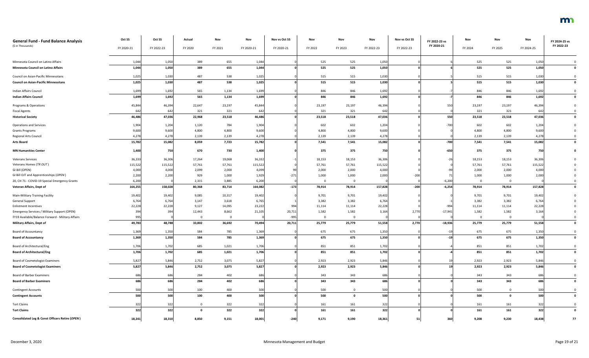| <b>General Fund - Fund Balance Analysis</b><br>(\$ in Thousands) | Oct SS<br>FY 2020-21 | Oct SS<br>FY 2022-23 | Actual<br>FY 2020 | Nov<br>FY 2021 | Nov<br>FY 2020-21 | Nov vs Oct SS<br>FY 2020-21 | Nov<br>FY 2022 | Nov<br>FY 2023 | Nov<br>FY 2022-23 | Nov vs Oct SS<br>FY 2022-23 | FY 2022-23 vs<br>FY 2020-21 | Nov<br>FY 2024 | Nov<br>FY 2025 | Nov<br>FY 2024-25 | FY 2024-25 vs<br>FY 2022-23 |
|------------------------------------------------------------------|----------------------|----------------------|-------------------|----------------|-------------------|-----------------------------|----------------|----------------|-------------------|-----------------------------|-----------------------------|----------------|----------------|-------------------|-----------------------------|
|                                                                  |                      |                      |                   |                |                   |                             |                |                |                   |                             |                             |                |                |                   |                             |
| Minnesota Council on Latino Affairs                              | 1,044                | 1,050                | 389               | 655            | 1,044             |                             | 525            | 525            | 1,050             |                             |                             | 525            | 525            | 1,050             |                             |
| Minnesota Council on Latino Affairs                              | 1,044                | 1,050                | 389               | 655            | 1,044             |                             | 525            | 525            | 1,050             |                             |                             | 525            | 525            | 1,050             |                             |
| Council on Asian-Pacific Minnesotans                             | 1,025                | 1,030                | 487               | 538            | 1,025             |                             | 515            | 515            | 1,030             |                             |                             | 515            | 515            | 1,030             |                             |
| <b>Council on Asian-Pacific Minnesotans</b>                      | 1,025                | 1,030                | 487               | 538            | 1,025             |                             | 515            | 515            | 1,030             |                             |                             | 515            | 515            | 1,030             | $\mathbf 0$                 |
|                                                                  |                      |                      |                   |                |                   |                             |                |                |                   |                             |                             |                |                |                   |                             |
| Indian Affairs Council<br><b>Indian Affairs Council</b>          | 1,699<br>1,699       | 1,692<br>1,692       | 565<br>565        | 1,134<br>1,134 | 1,699<br>1,699    |                             | 846<br>846     | 846<br>846     | 1,692<br>1,692    |                             |                             | 846<br>846     | 846<br>846     | 1,692<br>1,692    | $\mathbf 0$                 |
|                                                                  |                      |                      |                   |                |                   |                             |                |                |                   |                             |                             |                |                |                   |                             |
| Programs & Operations                                            | 45,844               | 46,394               | 22,647            | 23,197         | 45,844            |                             | 23,197         | 23,197         | 46,394            |                             | 550                         | 23,197         | 23,197         | 46,394            |                             |
| <b>Fiscal Agents</b>                                             | 642                  | 642                  | 321               | 321            | 642               |                             | 321            | 321            | 642               |                             |                             | 321            | 321            | 642               |                             |
| <b>Historical Society</b>                                        | 46,486               | 47,036               | 22,968            | 23,518         | 46,486            |                             | 23,518         | 23,518         | 47,036            |                             | 550                         | 23,518         | 23,518         | 47,036            |                             |
| <b>Operations and Services</b>                                   | 1,904                | 1,204                | 1,120             | 784            | 1,904             |                             | 602            | 602            | 1,204             |                             | $-700$                      | 602            | 602            | 1,204             |                             |
| <b>Grants Programs</b>                                           | 9,600                | 9,600                | 4,800             | 4,800          | 9,600             |                             | 4,800          | 4,800          | 9,600             |                             |                             | 4,800          | 4,800          | 9,600             |                             |
| <b>Regional Arts Council</b>                                     | 4,278                | 4,278                | 2,139             | 2,139          | 4,278             |                             | 2,139          | 2,139          | 4,278             |                             |                             | 2,139          | 2,139          | 4,278             |                             |
| <b>Arts Board</b>                                                | 15,782               | 15,082               | 8,059             | 7,723          | 15,782            |                             | 7,541          | 7,541          | 15,082            |                             | $-700$                      | 7,541          | 7,541          | 15,082            |                             |
| <b>MN Humanities Center</b>                                      | 1,400                | 750                  | 670               | 730            | 1,400             |                             | 375            | 375            | 750               |                             | $-650$                      | 375            | 375            | 750               |                             |
| <b>Veterans Services</b>                                         | 36,333               | 36,306               | 17,264            | 19,068         | 36,332            |                             | 18,153         | 18,153         | 36,306            |                             | -26                         | 18,153         | 18,153         | 36,306            |                             |
| Veterans Homes (TR OUT)                                          | 115,522              | 115,522              | 57,761            | 57,761         | 115,522           |                             | 57,761         | 57,761         | 115,522           |                             |                             | 57,761         | 57,761         | 115,522           |                             |
| GI Bill (OPEN)                                                   | 4,000                | 4,000                | 2,099             | 2,000          | 4,099             |                             | 2,000          | 2,000          | 4,000             |                             |                             | 2,000          | 2,000          | 4,000             |                             |
| GI Bill OJT and Apprenticeships (OPEN)                           | 2,200                | 2,200                | 929               | 1,000          | 1,929             | $-27.$                      | 1,000          | 1,000          | 2,000             | $-200$                      |                             | 1,000          | 1,000          | 2,000             |                             |
| 20, CH 71 - COVID-19 Special Emergency Grants                    | 6,200                |                      | 2,315             | 3,885          | 6,200             |                             | $\Omega$       | $\Omega$       |                   |                             | $-6,200$                    | $\Omega$       | $\mathbf 0$    |                   |                             |
| Veteran Affairs, Dept of                                         | 164,255              | 158,028              | 80,368            | 83,714         | 164,082           | $-173$                      | 78,914         | 78,914         | 157,828           | $-200$                      | $-6,254$                    | 78,914         | 78,914         | 157,828           |                             |
| Main-Military Training Facility                                  | 19,402               | 19,402               | 9,085             | 10,317         | 19,402            |                             | 9,701          | 9,701          | 19,402            |                             |                             | 9,701          | 9,701          | 19,402            |                             |
| <b>General Support</b>                                           | 6,764                | 6,764                | 3,147             | 3,618          | 6,765             |                             | 3,382          | 3,382          | 6,764             |                             |                             | 3,382          | 3,382          | 6,764             |                             |
| <b>Enlistment Incentives</b>                                     | 22,228               | 22,228               | 9,127             | 14,095         | 23,222            | 994                         | 11,114         | 11,114         | 22,228            |                             | $-994$                      | 11,114         | 11,114         | 22,228            |                             |
| Emergency Services / Military Support (OPEN)                     | 394                  | 394                  | 12,443            | 8,662          | 21,105            | 20,711                      | 1,582          | 1,582          | 3,164             | 2,770                       | $-17,941$                   | 1,582          | 1,582          | 3,164             |                             |
| FY19 Available/Balance Forward - Military Affairs                | 99                   |                      |                   |                |                   | $-995$                      | $\Omega$       |                |                   |                             |                             | $\Omega$       | $\mathbf 0$    |                   |                             |
| <b>Military Affairs, Dept of</b>                                 | 49,783               | 48,788               | 33,802            | 36,692         | 70,494            | 20,711                      | 25,779         | 25,779         | 51,558            | 2,770                       | $-18,936$                   | 25,779         | 25,779         | 51,558            |                             |
| <b>Board of Accountancy</b>                                      | 1,369                | 1,350                | 584               | 785            | 1,369             |                             | 675            | 675            | 1,350             |                             | -19                         | 675            | 675            | 1,350             |                             |
| <b>Board of Accountancy</b>                                      | 1,369                | 1,350                | 584               | 785            | 1,369             |                             | 675            | 675            | 1,350             |                             | $-19$                       | 675            | 675            | 1,350             |                             |
| Board of Architectural/Eng                                       | 1,706                | 1,702                | 685               | 1,021          | 1,706             |                             | 851            | 851            | 1,702             |                             |                             | 851            | 851            | 1,702             |                             |
| <b>Board of Architectural/Eng</b>                                | 1,706                | 1,702                | 685               | 1,021          | 1,706             |                             | 851            | 851            | 1,702             |                             |                             | 851            | 851            | 1,702             | 0                           |
| Board of Cosmetologist Examiners                                 | 5,827                | 5,846                | 2,752             | 3,075          | 5,827             |                             | 2,923          | 2,923          | 5,846             |                             |                             | 2,923          | 2,923          | 5,846             |                             |
| <b>Board of Cosmetologist Examiners</b>                          | 5,827                | 5,846                | 2,752             | 3,075          | 5,827             |                             | 2,923          | 2,923          | 5,846             |                             |                             | 2,923          | 2,923          | 5,846             |                             |
| <b>Board of Barber Examiners</b>                                 |                      | 686                  | 284               | 402            | 686               |                             | 343            | 343            | 686               |                             |                             | 343            | 343            |                   |                             |
|                                                                  | 686<br>686           | 686                  | 284               | 402            | 686               |                             | 343            | 343            | 686               |                             |                             | 343            |                | 686<br>686        |                             |
| <b>Board of Barber Examiners</b>                                 |                      |                      |                   |                |                   |                             |                |                |                   |                             |                             |                | 343            |                   |                             |
| <b>Contingent Accounts</b>                                       | 500                  | 500                  | 100               | 400            | 500               |                             | 500            | $\Omega$       | 500               |                             |                             | 500            | $\overline{0}$ | 500               |                             |
| <b>Contingent Accounts</b>                                       | 500                  | 500                  | 100               | 400            | 500               |                             | 500            | $\mathbf{0}$   | 500               |                             |                             | 500            | $\mathbf 0$    | 500               |                             |
| <b>Tort Claims</b>                                               | 322                  | 322                  | $\mathbf{0}$      | 322            | 322               |                             | 161            | 161            | 322               |                             |                             | 161            | 161            | 322               |                             |
| <b>Tort Claims</b>                                               | 322                  | 322                  | - 0               | 322            | 322               |                             | 161            | 161            | 322               |                             |                             | 161            | 161            | 322               |                             |
| Consolidated Leg & Const Officers Retire (OPEN)                  | 18,241               | 18,310               | 8,850             | 9,151          | 18,001            | $-240$                      | 9,171          | 9,190          | 18,361            | 51                          | 360                         | 9,208          | 9,230          | 18,438            | 77                          |

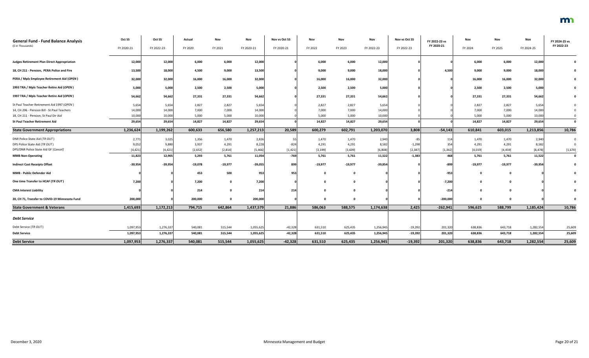| <b>General Fund - Fund Balance Analysis</b>        | Oct SS     | Oct SS     | Actual    | Nov       | Nov        | Nov vs Oct SS | Nov       | Nov       | Nov        | Nov vs Oct SS | FY 2022-23 vs | Nov       | Nov       | <b>Nov</b> | FY 2024-25 vs |
|----------------------------------------------------|------------|------------|-----------|-----------|------------|---------------|-----------|-----------|------------|---------------|---------------|-----------|-----------|------------|---------------|
| (\$ in Thousands)                                  | FY 2020-21 | FY 2022-23 | FY 2020   | FY 2021   | FY 2020-21 | FY 2020-21    | FY 2022   | FY 2023   | FY 2022-23 | FY 2022-23    | FY 2020-21    | FY 2024   | FY 2025   | FY 2024-25 | FY 2022-23    |
| <b>Judges Retirement Plan Direct Appropriation</b> | 12,000     | 12,000     | 6,000     | 6,000     | 12,000     |               | 6,000     | 6,000     | 12,000     |               |               | 6,000     | 6,000     | 12,000     |               |
| 18, CH 211 - Pension, PERA Police and Fire         | 13,500     | 18,000     | 4,500     | 9,000     | 13,500     |               | 9,000     | 9,000     | 18,000     |               | 4,500         | 9,000     | 9,000     | 18,000     |               |
| PERA / Mpls Employee Retirement Aid (OPEN)         | 32,000     | 32,000     | 16,000    | 16,000    | 32,000     |               | 16,000    | 16,000    | 32,000     |               |               | 16,000    | 16,000    | 32,000     |               |
| 1993 TRA / Mpls Teacher Retire Aid (OPEN)          | 5,000      | 5,000      | 2,500     | 2,500     | 5,000      |               | 2,500     | 2,500     | 5,000      |               |               | 2,500     | 2,500     | 5,000      |               |
| 1997 TRA / Mpls Teacher Retire Aid (OPEN)          | 54,662     | 54,662     | 27,331    | 27,331    | 54,662     |               | 27,331    | 27,331    | 54,662     |               |               | 27,331    | 27,331    | 54,662     |               |
| St Paul Teacher Retirement Aid 1997 (OPEN)         | 5,654      | 5,654      | 2,827     | 2,827     | 5,654      |               | 2,827     | 2,827     | 5,654      |               |               | 2,827     | 2,827     | 5,654      |               |
| 14, CH 296 - Pension Bill - St Paul Teachers       | 14,000     | 14,000     | 7,000     | 7,000     | 14,000     |               | 7,000     | 7,000     | 14,000     |               |               | 7,000     | 7,000     | 14,000     |               |
| 18, CH 211 - Pension, St Paul Dir Aid              | 10,000     | 10,000     | 5,000     | 5,000     | 10,000     |               | 5,000     | 5,000     | 10,000     |               |               | 5,000     | 5,000     | 10,000     |               |
| <b>St Paul Teacher Retirement Aid</b>              | 29,654     | 29,654     | 14,827    | 14,827    | 29,654     |               | 14,827    | 14,827    | 29,654     |               |               | 14,827    | 14,827    | 29,654     | $\mathbf{0}$  |
| <b>State Government Appropriations</b>             | 1,236,624  | 1,199,262  | 600,633   | 656,580   | 1,257,213  | 20,589        | 600,279   | 602,791   | 1,203,070  | 3,808         | $-54,143$     | 610,841   | 603,015   | 1,213,856  | 10,786        |
| DNR Police State Aid (TR OUT)                      | 2,77       | 3,025      | 1,356     | 1,470     | 2,826      |               | 1,470     | 1,470     | 2,940      | -85           | 114           | 1,470     | 1,470     | 2,940      | $\mathbf 0$   |
| DPS Police State Aid (TR OUT)                      | 9,052      | 9,880      | 3,937     | 4,291     | 8,228      | $-824$        | 4,291     | 4,291     | 8,582      | $-1,298$      | 354           | 4,291     | 4,291     | 8,582      |               |
| DPS/DNR Police State Aid GF [Cancel]               | [4, 421]   | [4, 421]   | [2,652]   | [2,814]   | [5, 466]   | [1,421]       | [3, 199]  | [3,609]   | [6, 808]   | [2, 387]      | [1, 342]      | [4,019]   | [4, 459]  | [8, 478]   | [1,670]       |
| <b>MMB Non-Operating</b>                           | 11,823     | 12,905     | 5,293     | 5,761     | 11,054     | $-769$        | 5,761     | 5,761     | 11,522     | $-1,383$      | 468           | 5,761     | 5,761     | 11,522     | $\mathbf 0$   |
| <b>Indirect Cost Receipts Offset</b>               | $-39,954$  | $-39,954$  | $-19,078$ | $-19,977$ | $-39,055$  | 899           | $-19,977$ | $-19,977$ | $-39,954$  |               | $-899$        | $-19,977$ | $-19,977$ | $-39,954$  |               |
| MMB - Public Defender Aid                          |            |            | 453       | 500       | 953        | 953           |           |           |            |               | $-953$        |           |           |            |               |
| One time Transfer to HCAF (TR OUT)                 | 7,200      |            | 7,200     |           | 7,200      |               |           |           |            |               | $-7,200$      |           |           |            |               |
| <b>CMA Interest Liability</b>                      |            |            | 214       |           | 214        | 214           |           |           |            |               | $-214$        |           |           |            |               |
| 20, CH 71, Transfer to COVID-19 Minnesota Fund     | 200,000    |            | 200,000   | 0         | 200,000    |               |           | 0         |            |               | $-200,000$    | 0         |           |            | 0             |
| <b>State Government &amp; Veterans</b>             | 1,415,693  | 1,172,213  | 794,715   | 642,864   | 1,437,579  | 21,886        | 586,063   | 588,575   | 1,174,638  | 2,425         | $-262,941$    | 596,625   | 588,799   | 1,185,424  | 10,786        |
| <b>Debt Service</b>                                |            |            |           |           |            |               |           |           |            |               |               |           |           |            |               |
| Debt Service (TR OUT)                              | 1,097,953  | 1,276,337  | 540,081   | 515,544   | 1,055,625  | $-42,328$     | 631,510   | 625,435   | 1,256,945  | $-19,392$     | 201,320       | 638,836   | 643,718   | 1,282,554  | 25,609        |
| <b>Debt Service</b>                                | 1,097,953  | 1,276,337  | 540,081   | 515,544   | 1,055,625  | $-42,328$     | 631,510   | 625,435   | 1,256,945  | $-19,392$     | 201,320       | 638,836   | 643,718   | 1,282,554  | 25,609        |
| <b>Debt Service</b>                                | 1,097,953  | 1,276,337  | 540,081   | 515,544   | 1,055,625  | $-42,328$     | 631,510   | 625,435   | 1,256,945  | $-19,392$     | 201,320       | 638,836   | 643,718   | 1,282,554  | 25,609        |